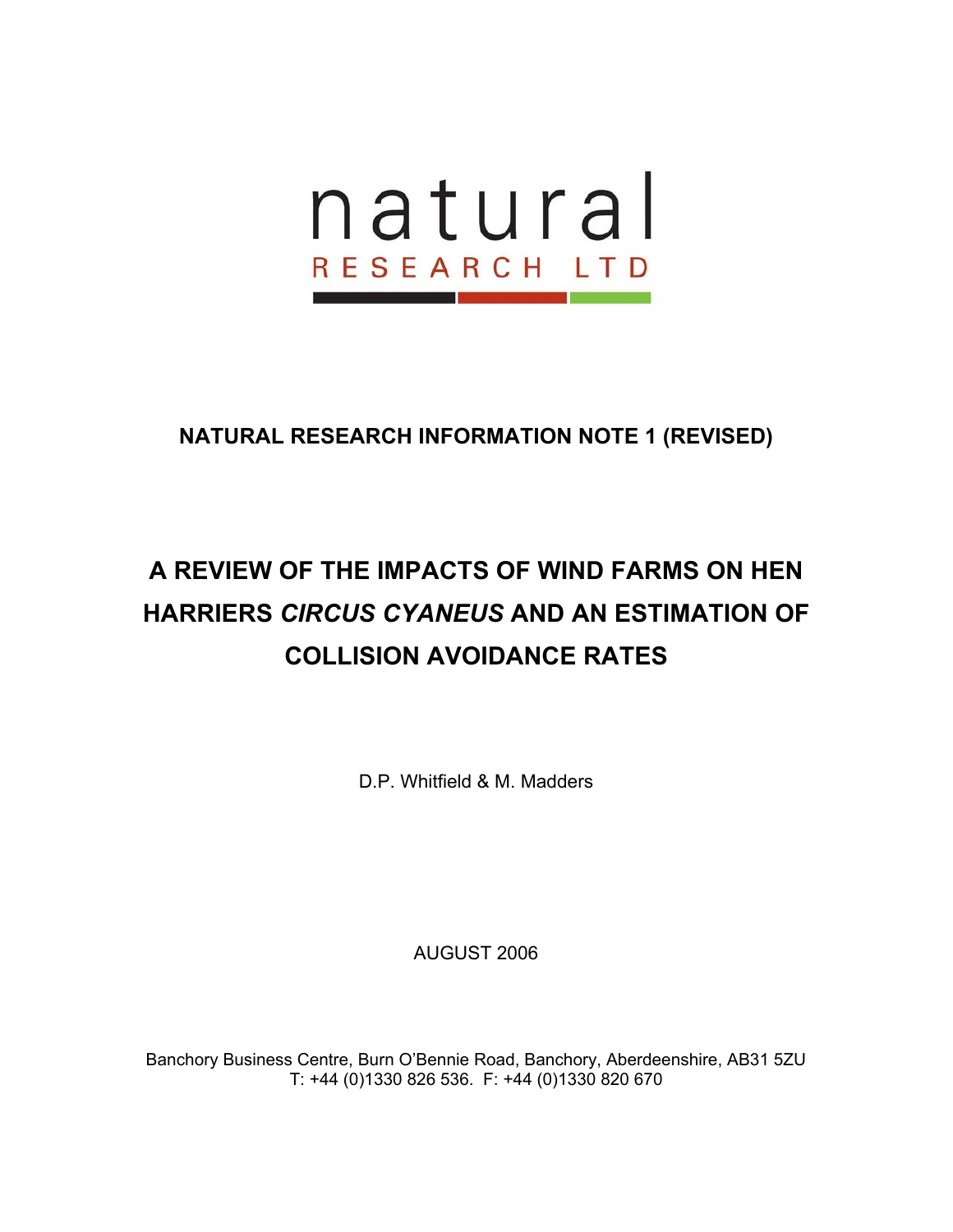

# **A REVIEW OF THE IMPACTS OF WIND FARMS ON HEN HARRIERS** *CIRCUS CYANEUS* **AND AN ESTIMATION OF COLLISION AVOIDANCE RATES**

D.P. Whitfield & M. Madders

AUGUST 2006

Banchory Business Centre, Burn O'Bennie Road, Banchory, Aberdeenshire, AB31 5ZU T: +44 (0)1330 826 536. F: +44 (0)1330 820 670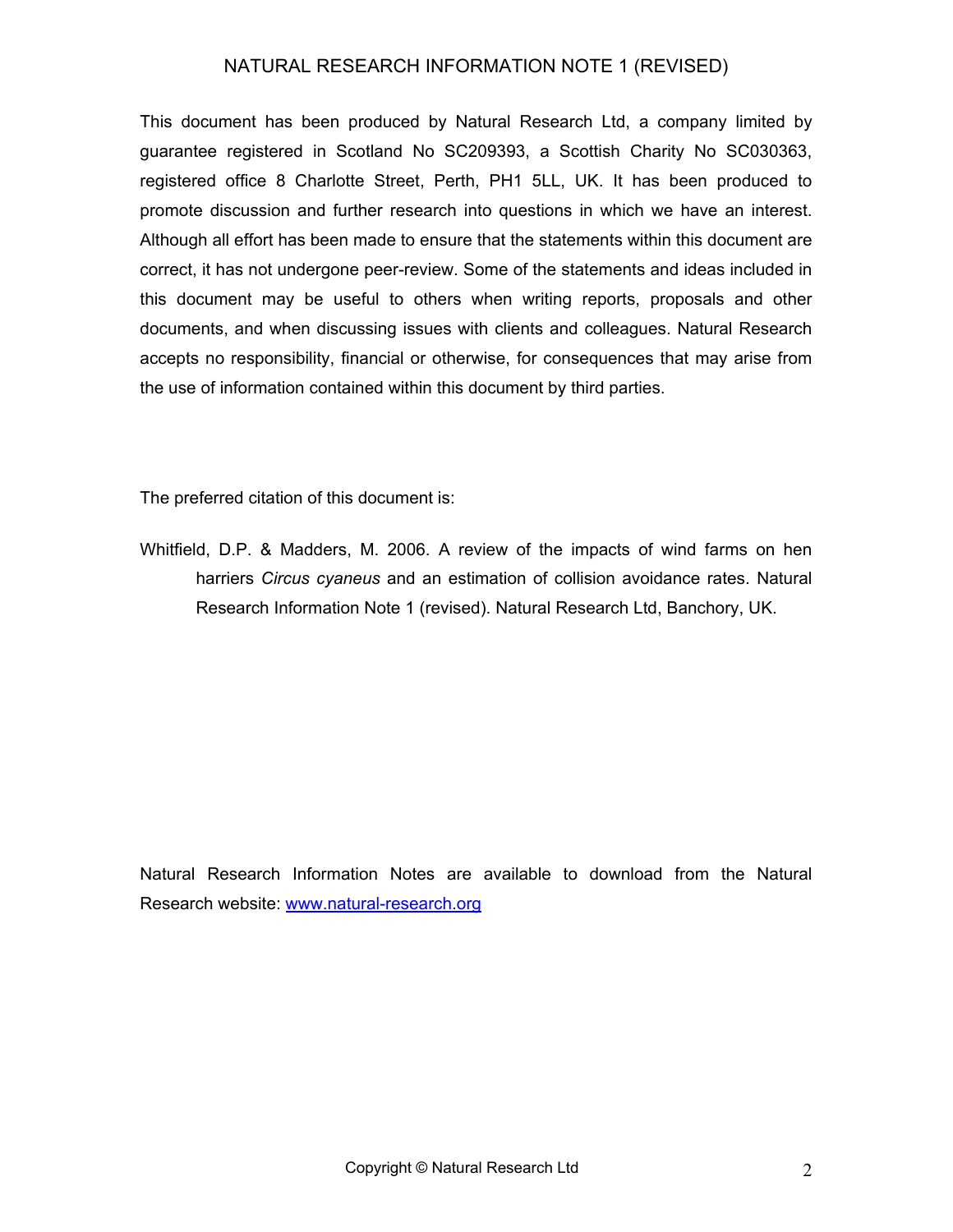This document has been produced by Natural Research Ltd, a company limited by guarantee registered in Scotland No SC209393, a Scottish Charity No SC030363, registered office 8 Charlotte Street, Perth, PH1 5LL, UK. It has been produced to promote discussion and further research into questions in which we have an interest. Although all effort has been made to ensure that the statements within this document are correct, it has not undergone peer-review. Some of the statements and ideas included in this document may be useful to others when writing reports, proposals and other documents, and when discussing issues with clients and colleagues. Natural Research accepts no responsibility, financial or otherwise, for consequences that may arise from the use of information contained within this document by third parties.

The preferred citation of this document is:

Whitfield, D.P. & Madders, M. 2006. A review of the impacts of wind farms on hen harriers *Circus cyaneus* and an estimation of collision avoidance rates. Natural Research Information Note 1 (revised). Natural Research Ltd, Banchory, UK.

Natural Research Information Notes are available to download from the Natural Research website: [www.natural-research.org](http://www.natural-research.org/)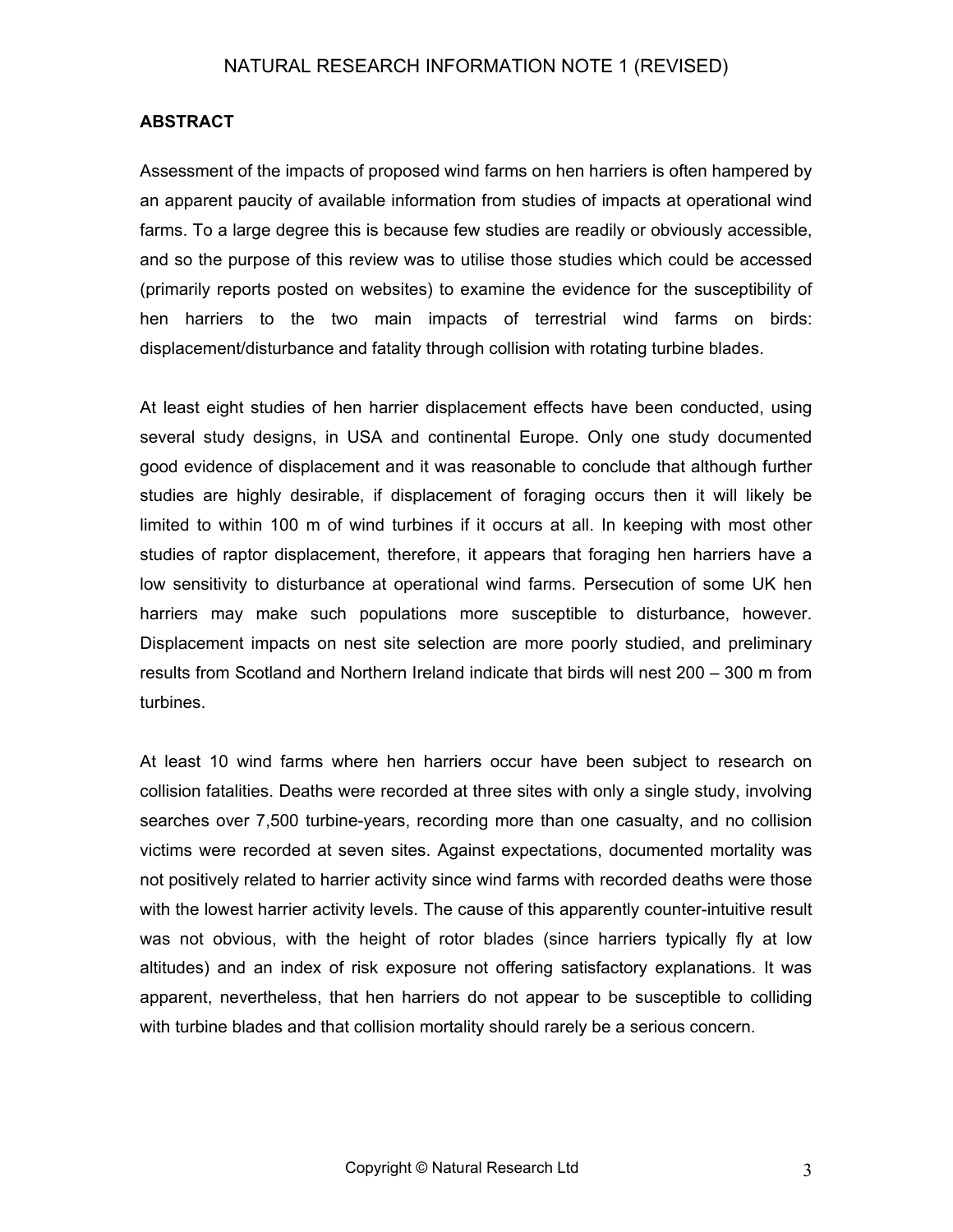#### **ABSTRACT**

Assessment of the impacts of proposed wind farms on hen harriers is often hampered by an apparent paucity of available information from studies of impacts at operational wind farms. To a large degree this is because few studies are readily or obviously accessible, and so the purpose of this review was to utilise those studies which could be accessed (primarily reports posted on websites) to examine the evidence for the susceptibility of hen harriers to the two main impacts of terrestrial wind farms on birds: displacement/disturbance and fatality through collision with rotating turbine blades.

At least eight studies of hen harrier displacement effects have been conducted, using several study designs, in USA and continental Europe. Only one study documented good evidence of displacement and it was reasonable to conclude that although further studies are highly desirable, if displacement of foraging occurs then it will likely be limited to within 100 m of wind turbines if it occurs at all. In keeping with most other studies of raptor displacement, therefore, it appears that foraging hen harriers have a low sensitivity to disturbance at operational wind farms. Persecution of some UK hen harriers may make such populations more susceptible to disturbance, however. Displacement impacts on nest site selection are more poorly studied, and preliminary results from Scotland and Northern Ireland indicate that birds will nest 200 – 300 m from turbines.

At least 10 wind farms where hen harriers occur have been subject to research on collision fatalities. Deaths were recorded at three sites with only a single study, involving searches over 7,500 turbine-years, recording more than one casualty, and no collision victims were recorded at seven sites. Against expectations, documented mortality was not positively related to harrier activity since wind farms with recorded deaths were those with the lowest harrier activity levels. The cause of this apparently counter-intuitive result was not obvious, with the height of rotor blades (since harriers typically fly at low altitudes) and an index of risk exposure not offering satisfactory explanations. It was apparent, nevertheless, that hen harriers do not appear to be susceptible to colliding with turbine blades and that collision mortality should rarely be a serious concern.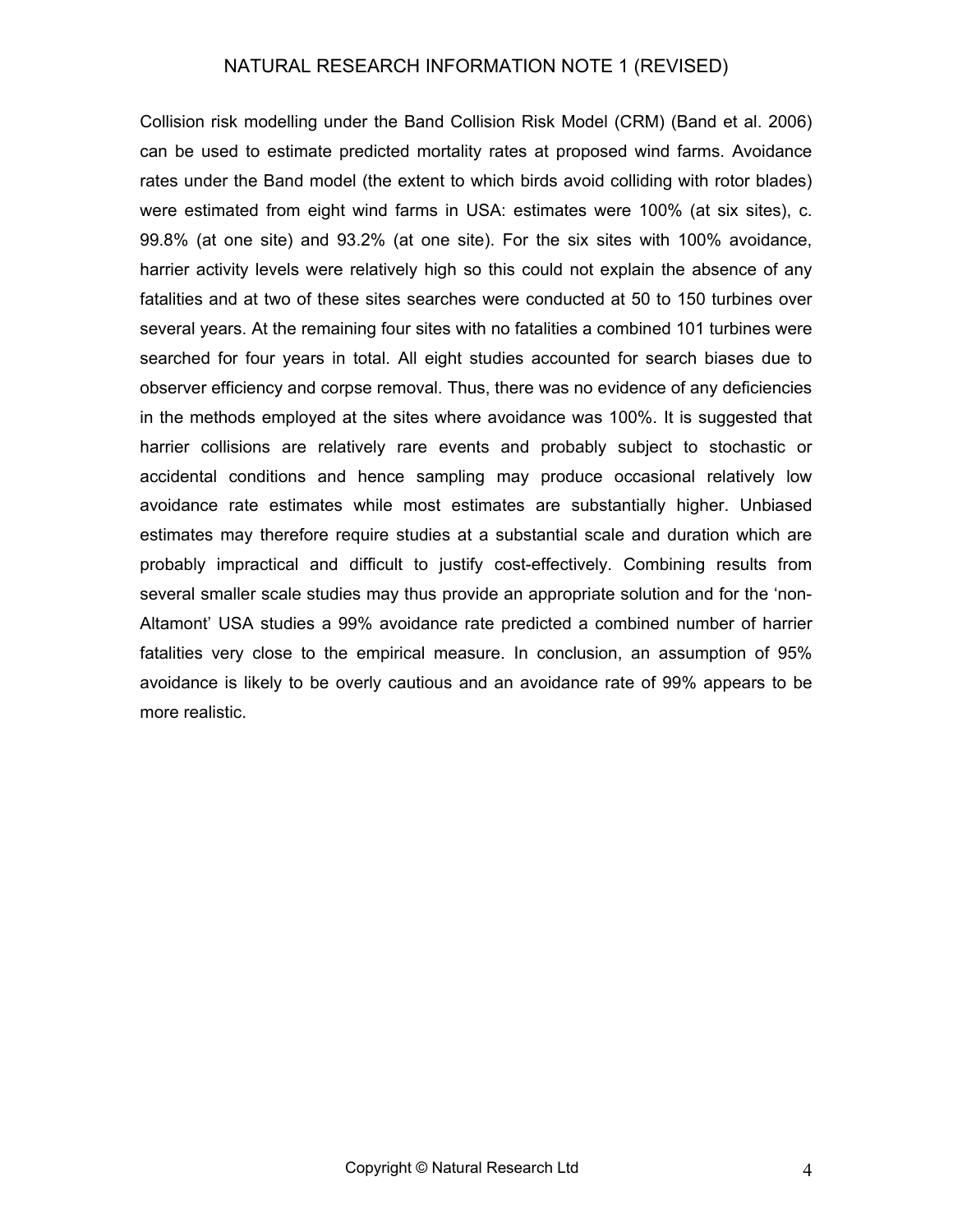Collision risk modelling under the Band Collision Risk Model (CRM) (Band et al. 2006) can be used to estimate predicted mortality rates at proposed wind farms. Avoidance rates under the Band model (the extent to which birds avoid colliding with rotor blades) were estimated from eight wind farms in USA: estimates were 100% (at six sites), c. 99.8% (at one site) and 93.2% (at one site). For the six sites with 100% avoidance, harrier activity levels were relatively high so this could not explain the absence of any fatalities and at two of these sites searches were conducted at 50 to 150 turbines over several years. At the remaining four sites with no fatalities a combined 101 turbines were searched for four years in total. All eight studies accounted for search biases due to observer efficiency and corpse removal. Thus, there was no evidence of any deficiencies in the methods employed at the sites where avoidance was 100%. It is suggested that harrier collisions are relatively rare events and probably subject to stochastic or accidental conditions and hence sampling may produce occasional relatively low avoidance rate estimates while most estimates are substantially higher. Unbiased estimates may therefore require studies at a substantial scale and duration which are probably impractical and difficult to justify cost-effectively. Combining results from several smaller scale studies may thus provide an appropriate solution and for the 'non-Altamont' USA studies a 99% avoidance rate predicted a combined number of harrier fatalities very close to the empirical measure. In conclusion, an assumption of 95% avoidance is likely to be overly cautious and an avoidance rate of 99% appears to be more realistic.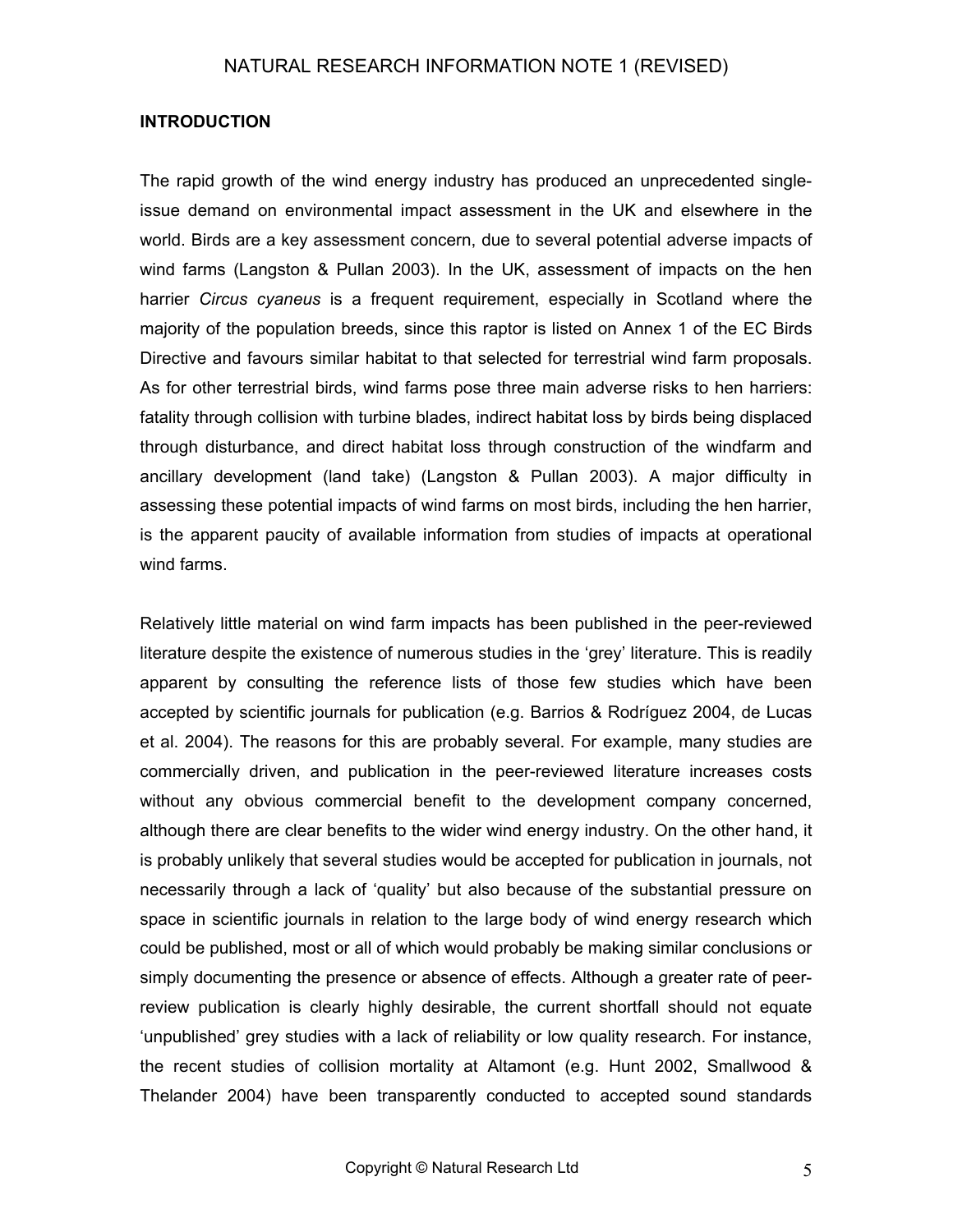#### **INTRODUCTION**

The rapid growth of the wind energy industry has produced an unprecedented singleissue demand on environmental impact assessment in the UK and elsewhere in the world. Birds are a key assessment concern, due to several potential adverse impacts of wind farms (Langston & Pullan 2003). In the UK, assessment of impacts on the hen harrier *Circus cyaneus* is a frequent requirement, especially in Scotland where the majority of the population breeds, since this raptor is listed on Annex 1 of the EC Birds Directive and favours similar habitat to that selected for terrestrial wind farm proposals. As for other terrestrial birds, wind farms pose three main adverse risks to hen harriers: fatality through collision with turbine blades, indirect habitat loss by birds being displaced through disturbance, and direct habitat loss through construction of the windfarm and ancillary development (land take) (Langston & Pullan 2003). A major difficulty in assessing these potential impacts of wind farms on most birds, including the hen harrier, is the apparent paucity of available information from studies of impacts at operational wind farms.

Relatively little material on wind farm impacts has been published in the peer-reviewed literature despite the existence of numerous studies in the 'grey' literature. This is readily apparent by consulting the reference lists of those few studies which have been accepted by scientific journals for publication (e.g. Barrios & Rodríguez 2004, de Lucas et al. 2004). The reasons for this are probably several. For example, many studies are commercially driven, and publication in the peer-reviewed literature increases costs without any obvious commercial benefit to the development company concerned, although there are clear benefits to the wider wind energy industry. On the other hand, it is probably unlikely that several studies would be accepted for publication in journals, not necessarily through a lack of 'quality' but also because of the substantial pressure on space in scientific journals in relation to the large body of wind energy research which could be published, most or all of which would probably be making similar conclusions or simply documenting the presence or absence of effects. Although a greater rate of peerreview publication is clearly highly desirable, the current shortfall should not equate 'unpublished' grey studies with a lack of reliability or low quality research. For instance, the recent studies of collision mortality at Altamont (e.g. Hunt 2002, Smallwood & Thelander 2004) have been transparently conducted to accepted sound standards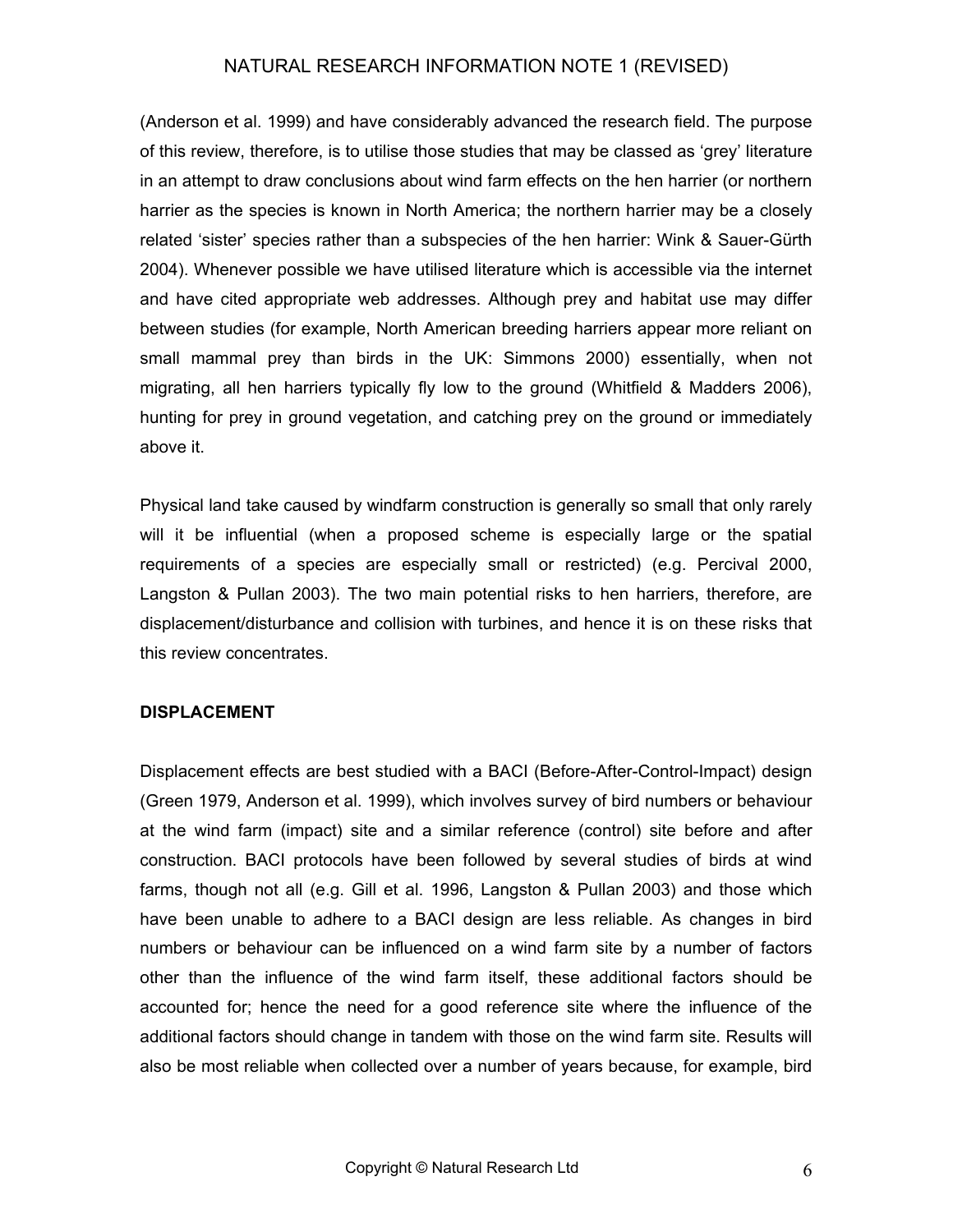(Anderson et al. 1999) and have considerably advanced the research field. The purpose of this review, therefore, is to utilise those studies that may be classed as 'grey' literature in an attempt to draw conclusions about wind farm effects on the hen harrier (or northern harrier as the species is known in North America; the northern harrier may be a closely related 'sister' species rather than a subspecies of the hen harrier: Wink & Sauer-Gürth 2004). Whenever possible we have utilised literature which is accessible via the internet and have cited appropriate web addresses. Although prey and habitat use may differ between studies (for example, North American breeding harriers appear more reliant on small mammal prey than birds in the UK: Simmons 2000) essentially, when not migrating, all hen harriers typically fly low to the ground (Whitfield & Madders 2006), hunting for prey in ground vegetation, and catching prey on the ground or immediately above it.

Physical land take caused by windfarm construction is generally so small that only rarely will it be influential (when a proposed scheme is especially large or the spatial requirements of a species are especially small or restricted) (e.g. Percival 2000, Langston & Pullan 2003). The two main potential risks to hen harriers, therefore, are displacement/disturbance and collision with turbines, and hence it is on these risks that this review concentrates.

#### **DISPLACEMENT**

Displacement effects are best studied with a BACI (Before-After-Control-Impact) design (Green 1979, Anderson et al. 1999), which involves survey of bird numbers or behaviour at the wind farm (impact) site and a similar reference (control) site before and after construction. BACI protocols have been followed by several studies of birds at wind farms, though not all (e.g. Gill et al. 1996, Langston & Pullan 2003) and those which have been unable to adhere to a BACI design are less reliable. As changes in bird numbers or behaviour can be influenced on a wind farm site by a number of factors other than the influence of the wind farm itself, these additional factors should be accounted for; hence the need for a good reference site where the influence of the additional factors should change in tandem with those on the wind farm site. Results will also be most reliable when collected over a number of years because, for example, bird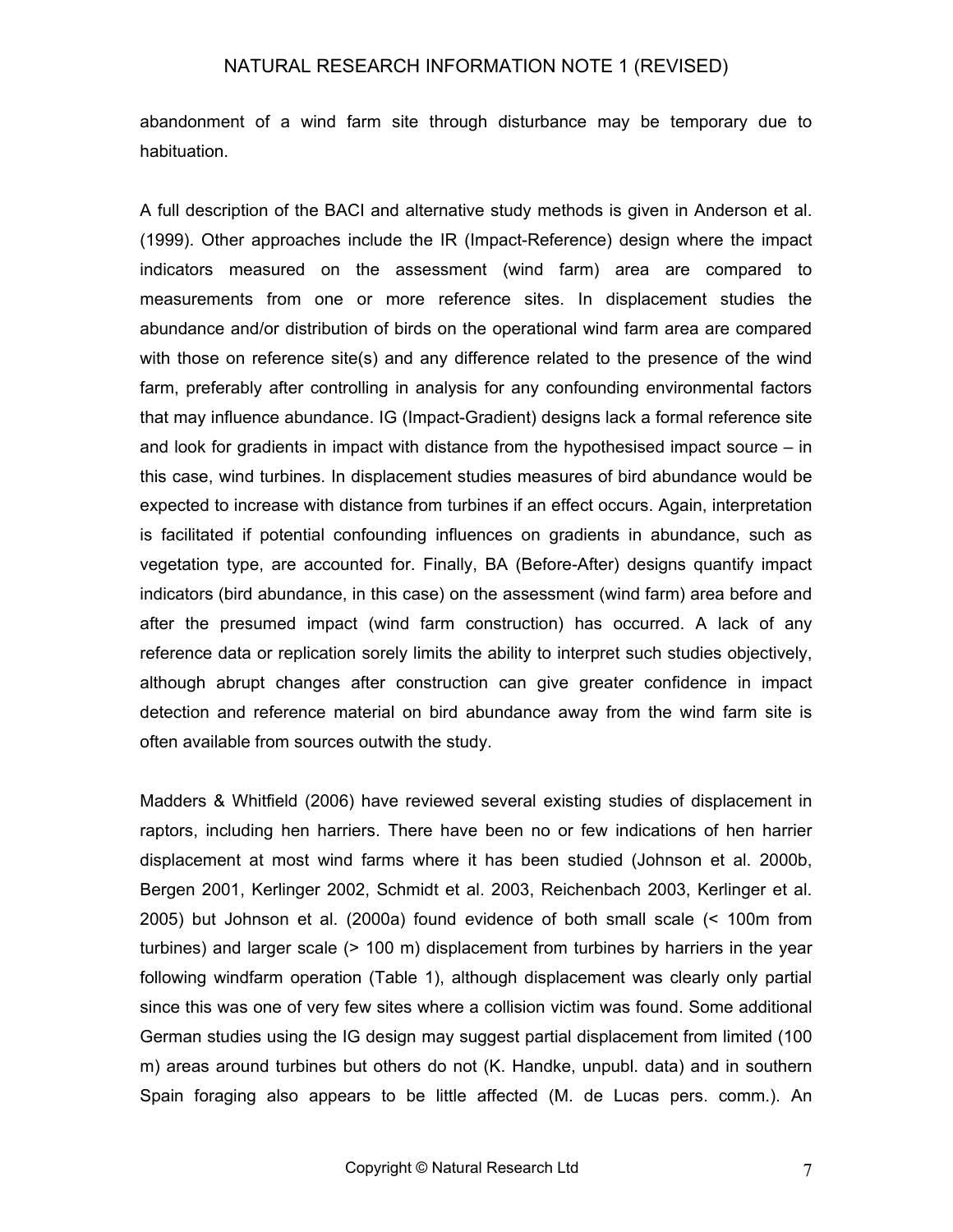abandonment of a wind farm site through disturbance may be temporary due to habituation.

A full description of the BACI and alternative study methods is given in Anderson et al. (1999). Other approaches include the IR (Impact-Reference) design where the impact indicators measured on the assessment (wind farm) area are compared to measurements from one or more reference sites. In displacement studies the abundance and/or distribution of birds on the operational wind farm area are compared with those on reference site(s) and any difference related to the presence of the wind farm, preferably after controlling in analysis for any confounding environmental factors that may influence abundance. IG (Impact-Gradient) designs lack a formal reference site and look for gradients in impact with distance from the hypothesised impact source – in this case, wind turbines. In displacement studies measures of bird abundance would be expected to increase with distance from turbines if an effect occurs. Again, interpretation is facilitated if potential confounding influences on gradients in abundance, such as vegetation type, are accounted for. Finally, BA (Before-After) designs quantify impact indicators (bird abundance, in this case) on the assessment (wind farm) area before and after the presumed impact (wind farm construction) has occurred. A lack of any reference data or replication sorely limits the ability to interpret such studies objectively, although abrupt changes after construction can give greater confidence in impact detection and reference material on bird abundance away from the wind farm site is often available from sources outwith the study.

Madders & Whitfield (2006) have reviewed several existing studies of displacement in raptors, including hen harriers. There have been no or few indications of hen harrier displacement at most wind farms where it has been studied (Johnson et al. 2000b, Bergen 2001, Kerlinger 2002, Schmidt et al. 2003, Reichenbach 2003, Kerlinger et al. 2005) but Johnson et al. (2000a) found evidence of both small scale (< 100m from turbines) and larger scale (> 100 m) displacement from turbines by harriers in the year following windfarm operation (Table 1), although displacement was clearly only partial since this was one of very few sites where a collision victim was found. Some additional German studies using the IG design may suggest partial displacement from limited (100 m) areas around turbines but others do not (K. Handke, unpubl. data) and in southern Spain foraging also appears to be little affected (M. de Lucas pers. comm.). An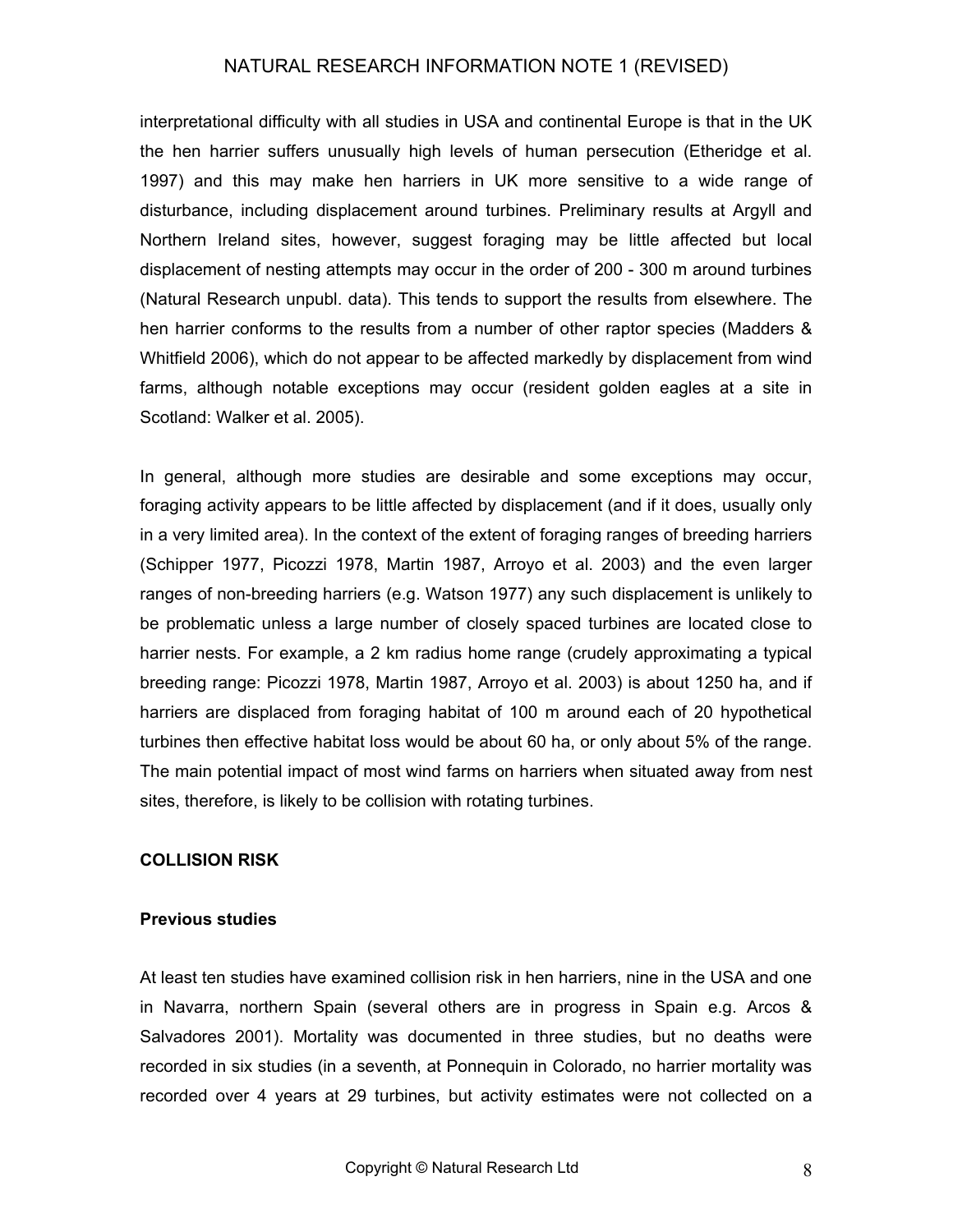interpretational difficulty with all studies in USA and continental Europe is that in the UK the hen harrier suffers unusually high levels of human persecution (Etheridge et al. 1997) and this may make hen harriers in UK more sensitive to a wide range of disturbance, including displacement around turbines. Preliminary results at Argyll and Northern Ireland sites, however, suggest foraging may be little affected but local displacement of nesting attempts may occur in the order of 200 - 300 m around turbines (Natural Research unpubl. data). This tends to support the results from elsewhere. The hen harrier conforms to the results from a number of other raptor species (Madders & Whitfield 2006), which do not appear to be affected markedly by displacement from wind farms, although notable exceptions may occur (resident golden eagles at a site in Scotland: Walker et al. 2005).

In general, although more studies are desirable and some exceptions may occur, foraging activity appears to be little affected by displacement (and if it does, usually only in a very limited area). In the context of the extent of foraging ranges of breeding harriers (Schipper 1977, Picozzi 1978, Martin 1987, Arroyo et al. 2003) and the even larger ranges of non-breeding harriers (e.g. Watson 1977) any such displacement is unlikely to be problematic unless a large number of closely spaced turbines are located close to harrier nests. For example, a 2 km radius home range (crudely approximating a typical breeding range: Picozzi 1978, Martin 1987, Arroyo et al. 2003) is about 1250 ha, and if harriers are displaced from foraging habitat of 100 m around each of 20 hypothetical turbines then effective habitat loss would be about 60 ha, or only about 5% of the range. The main potential impact of most wind farms on harriers when situated away from nest sites, therefore, is likely to be collision with rotating turbines.

#### **COLLISION RISK**

#### **Previous studies**

At least ten studies have examined collision risk in hen harriers, nine in the USA and one in Navarra, northern Spain (several others are in progress in Spain e.g. Arcos & Salvadores 2001). Mortality was documented in three studies, but no deaths were recorded in six studies (in a seventh, at Ponnequin in Colorado, no harrier mortality was recorded over 4 years at 29 turbines, but activity estimates were not collected on a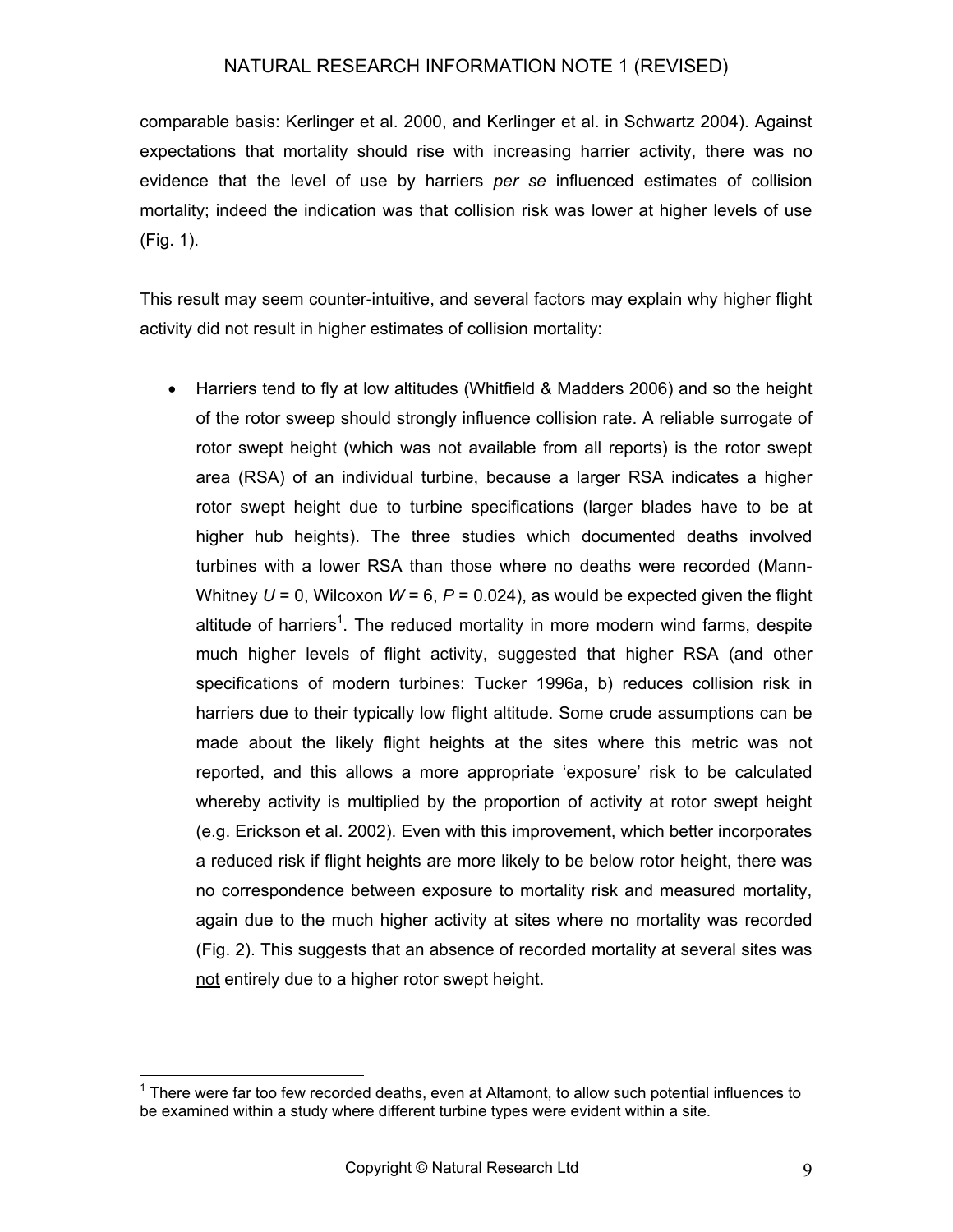comparable basis: Kerlinger et al. 2000, and Kerlinger et al. in Schwartz 2004). Against expectations that mortality should rise with increasing harrier activity, there was no evidence that the level of use by harriers *per se* influenced estimates of collision mortality; indeed the indication was that collision risk was lower at higher levels of use (Fig. 1).

This result may seem counter-intuitive, and several factors may explain why higher flight activity did not result in higher estimates of collision mortality:

• Harriers tend to fly at low altitudes (Whitfield & Madders 2006) and so the height of the rotor sweep should strongly influence collision rate. A reliable surrogate of rotor swept height (which was not available from all reports) is the rotor swept area (RSA) of an individual turbine, because a larger RSA indicates a higher rotor swept height due to turbine specifications (larger blades have to be at higher hub heights). The three studies which documented deaths involved turbines with a lower RSA than those where no deaths were recorded (Mann-Whitney  $U = 0$ , Wilcoxon  $W = 6$ ,  $P = 0.024$ ), as would be expected given the flight altitude of harriers<sup>[1](#page-8-0)</sup>. The reduced mortality in more modern wind farms, despite much higher levels of flight activity, suggested that higher RSA (and other specifications of modern turbines: Tucker 1996a, b) reduces collision risk in harriers due to their typically low flight altitude. Some crude assumptions can be made about the likely flight heights at the sites where this metric was not reported, and this allows a more appropriate 'exposure' risk to be calculated whereby activity is multiplied by the proportion of activity at rotor swept height (e.g. Erickson et al. 2002). Even with this improvement, which better incorporates a reduced risk if flight heights are more likely to be below rotor height, there was no correspondence between exposure to mortality risk and measured mortality, again due to the much higher activity at sites where no mortality was recorded (Fig. 2). This suggests that an absence of recorded mortality at several sites was not entirely due to a higher rotor swept height.

<span id="page-8-0"></span><sup>————————————————————&</sup>lt;br><sup>1</sup> There were far too few recorded deaths, even at Altamont, to allow such potential influences to be examined within a study where different turbine types were evident within a site.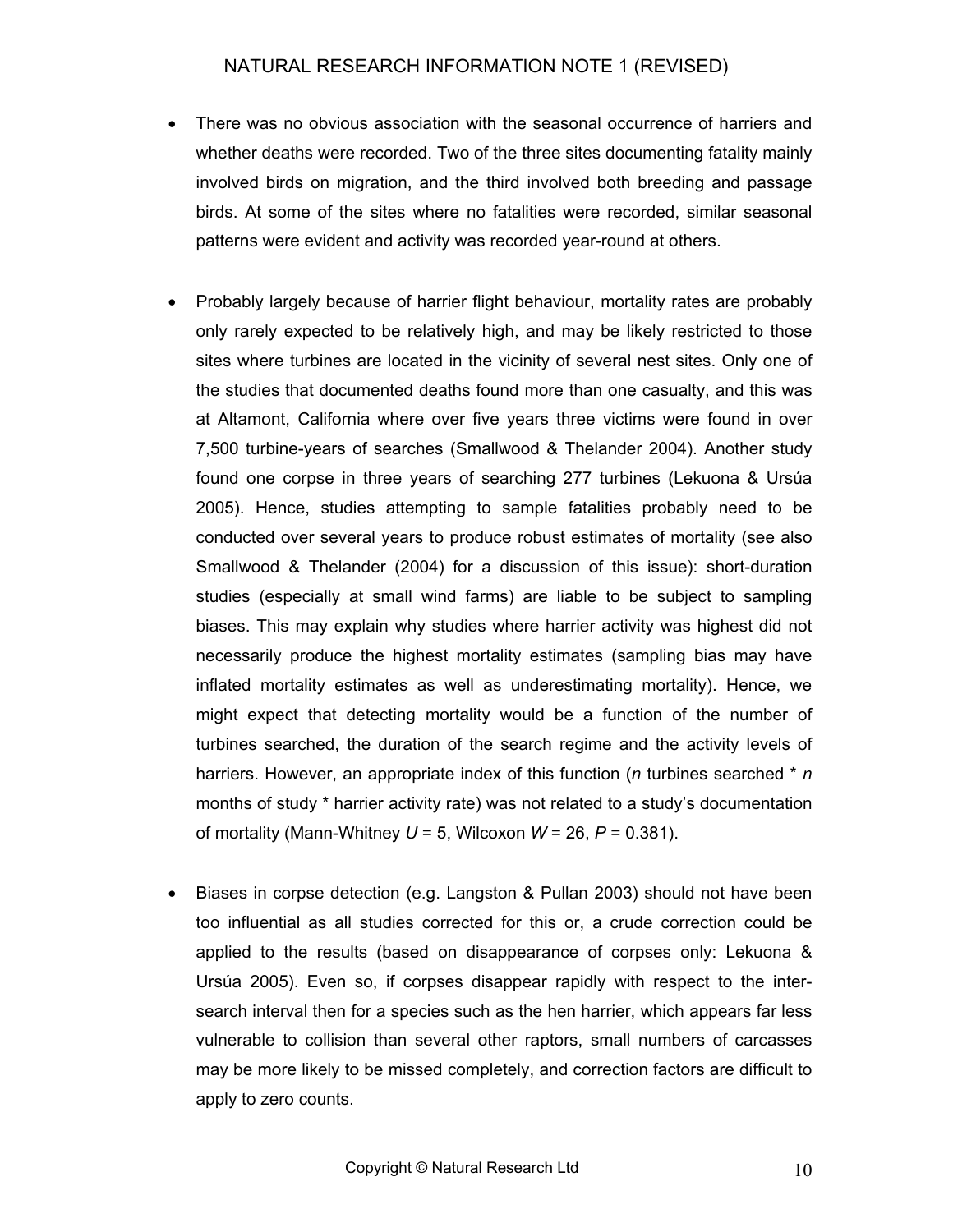- There was no obvious association with the seasonal occurrence of harriers and whether deaths were recorded. Two of the three sites documenting fatality mainly involved birds on migration, and the third involved both breeding and passage birds. At some of the sites where no fatalities were recorded, similar seasonal patterns were evident and activity was recorded year-round at others.
- Probably largely because of harrier flight behaviour, mortality rates are probably only rarely expected to be relatively high, and may be likely restricted to those sites where turbines are located in the vicinity of several nest sites. Only one of the studies that documented deaths found more than one casualty, and this was at Altamont, California where over five years three victims were found in over 7,500 turbine-years of searches (Smallwood & Thelander 2004). Another study found one corpse in three years of searching 277 turbines (Lekuona & Ursúa 2005). Hence, studies attempting to sample fatalities probably need to be conducted over several years to produce robust estimates of mortality (see also Smallwood & Thelander (2004) for a discussion of this issue): short-duration studies (especially at small wind farms) are liable to be subject to sampling biases. This may explain why studies where harrier activity was highest did not necessarily produce the highest mortality estimates (sampling bias may have inflated mortality estimates as well as underestimating mortality). Hence, we might expect that detecting mortality would be a function of the number of turbines searched, the duration of the search regime and the activity levels of harriers. However, an appropriate index of this function (*n* turbines searched \* *n* months of study \* harrier activity rate) was not related to a study's documentation of mortality (Mann-Whitney  $U = 5$ , Wilcoxon  $W = 26$ ,  $P = 0.381$ ).
- Biases in corpse detection (e.g. Langston & Pullan 2003) should not have been too influential as all studies corrected for this or, a crude correction could be applied to the results (based on disappearance of corpses only: Lekuona & Ursúa 2005). Even so, if corpses disappear rapidly with respect to the intersearch interval then for a species such as the hen harrier, which appears far less vulnerable to collision than several other raptors, small numbers of carcasses may be more likely to be missed completely, and correction factors are difficult to apply to zero counts.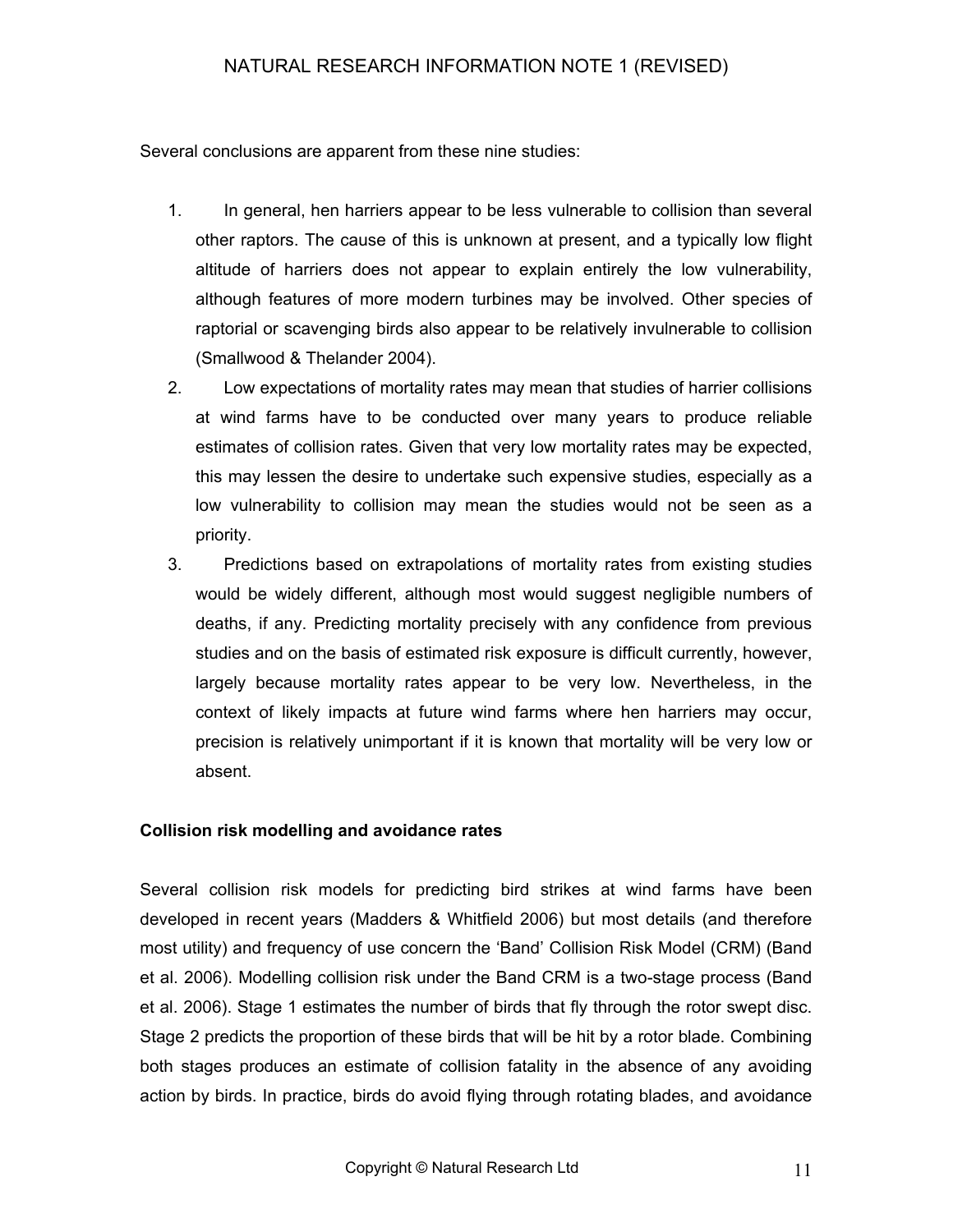Several conclusions are apparent from these nine studies:

- 1. In general, hen harriers appear to be less vulnerable to collision than several other raptors. The cause of this is unknown at present, and a typically low flight altitude of harriers does not appear to explain entirely the low vulnerability, although features of more modern turbines may be involved. Other species of raptorial or scavenging birds also appear to be relatively invulnerable to collision (Smallwood & Thelander 2004).
- 2. Low expectations of mortality rates may mean that studies of harrier collisions at wind farms have to be conducted over many years to produce reliable estimates of collision rates. Given that very low mortality rates may be expected, this may lessen the desire to undertake such expensive studies, especially as a low vulnerability to collision may mean the studies would not be seen as a priority.
- 3. Predictions based on extrapolations of mortality rates from existing studies would be widely different, although most would suggest negligible numbers of deaths, if any. Predicting mortality precisely with any confidence from previous studies and on the basis of estimated risk exposure is difficult currently, however, largely because mortality rates appear to be very low. Nevertheless, in the context of likely impacts at future wind farms where hen harriers may occur, precision is relatively unimportant if it is known that mortality will be very low or absent.

#### **Collision risk modelling and avoidance rates**

Several collision risk models for predicting bird strikes at wind farms have been developed in recent years (Madders & Whitfield 2006) but most details (and therefore most utility) and frequency of use concern the 'Band' Collision Risk Model (CRM) (Band et al. 2006). Modelling collision risk under the Band CRM is a two-stage process (Band et al. 2006). Stage 1 estimates the number of birds that fly through the rotor swept disc. Stage 2 predicts the proportion of these birds that will be hit by a rotor blade. Combining both stages produces an estimate of collision fatality in the absence of any avoiding action by birds. In practice, birds do avoid flying through rotating blades, and avoidance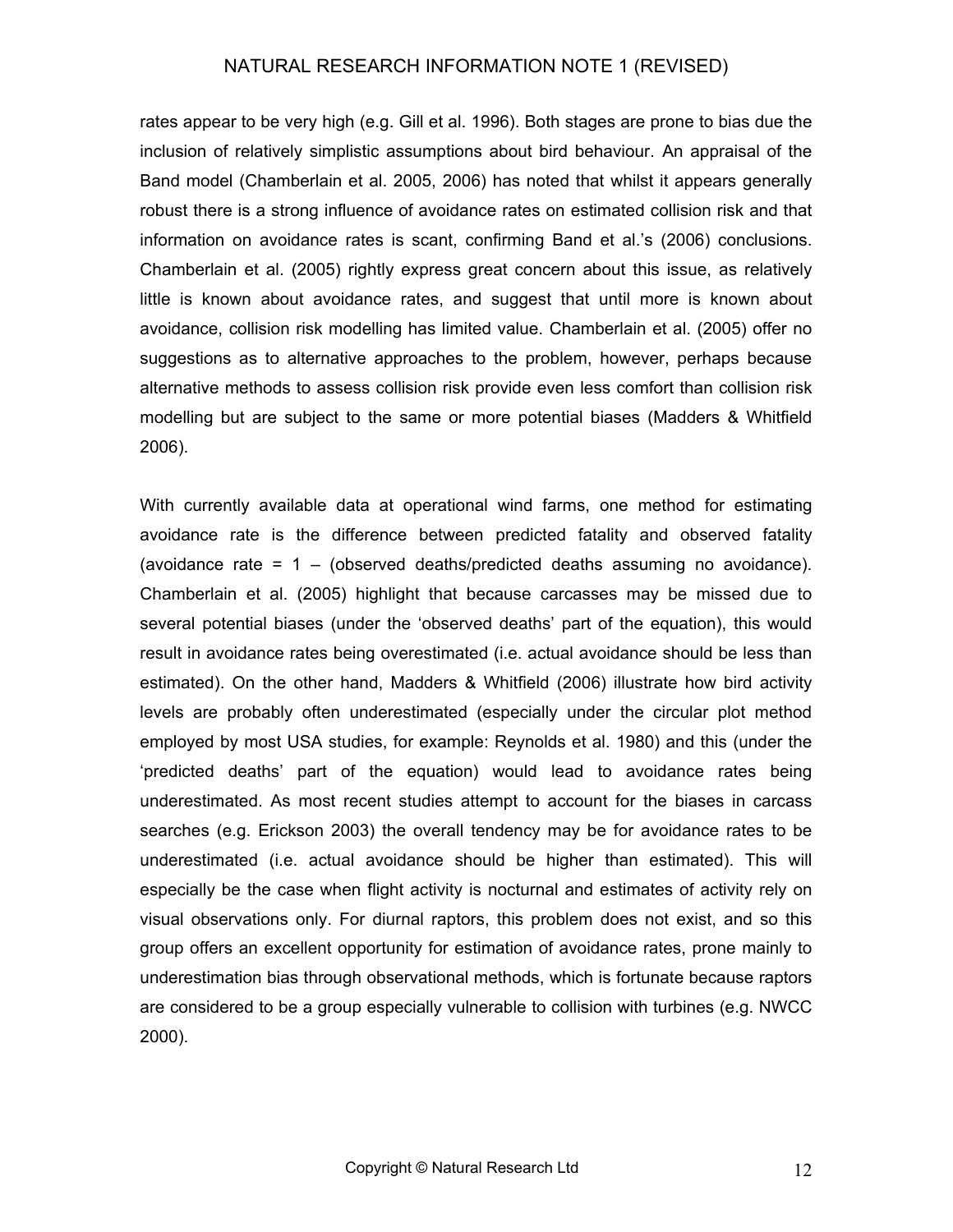rates appear to be very high (e.g. Gill et al. 1996). Both stages are prone to bias due the inclusion of relatively simplistic assumptions about bird behaviour. An appraisal of the Band model (Chamberlain et al. 2005, 2006) has noted that whilst it appears generally robust there is a strong influence of avoidance rates on estimated collision risk and that information on avoidance rates is scant, confirming Band et al.'s (2006) conclusions. Chamberlain et al. (2005) rightly express great concern about this issue, as relatively little is known about avoidance rates, and suggest that until more is known about avoidance, collision risk modelling has limited value. Chamberlain et al. (2005) offer no suggestions as to alternative approaches to the problem, however, perhaps because alternative methods to assess collision risk provide even less comfort than collision risk modelling but are subject to the same or more potential biases (Madders & Whitfield 2006).

With currently available data at operational wind farms, one method for estimating avoidance rate is the difference between predicted fatality and observed fatality (avoidance rate =  $1 -$  (observed deaths/predicted deaths assuming no avoidance). Chamberlain et al. (2005) highlight that because carcasses may be missed due to several potential biases (under the 'observed deaths' part of the equation), this would result in avoidance rates being overestimated (i.e. actual avoidance should be less than estimated). On the other hand, Madders & Whitfield (2006) illustrate how bird activity levels are probably often underestimated (especially under the circular plot method employed by most USA studies, for example: Reynolds et al. 1980) and this (under the 'predicted deaths' part of the equation) would lead to avoidance rates being underestimated. As most recent studies attempt to account for the biases in carcass searches (e.g. Erickson 2003) the overall tendency may be for avoidance rates to be underestimated (i.e. actual avoidance should be higher than estimated). This will especially be the case when flight activity is nocturnal and estimates of activity rely on visual observations only. For diurnal raptors, this problem does not exist, and so this group offers an excellent opportunity for estimation of avoidance rates, prone mainly to underestimation bias through observational methods, which is fortunate because raptors are considered to be a group especially vulnerable to collision with turbines (e.g. NWCC 2000).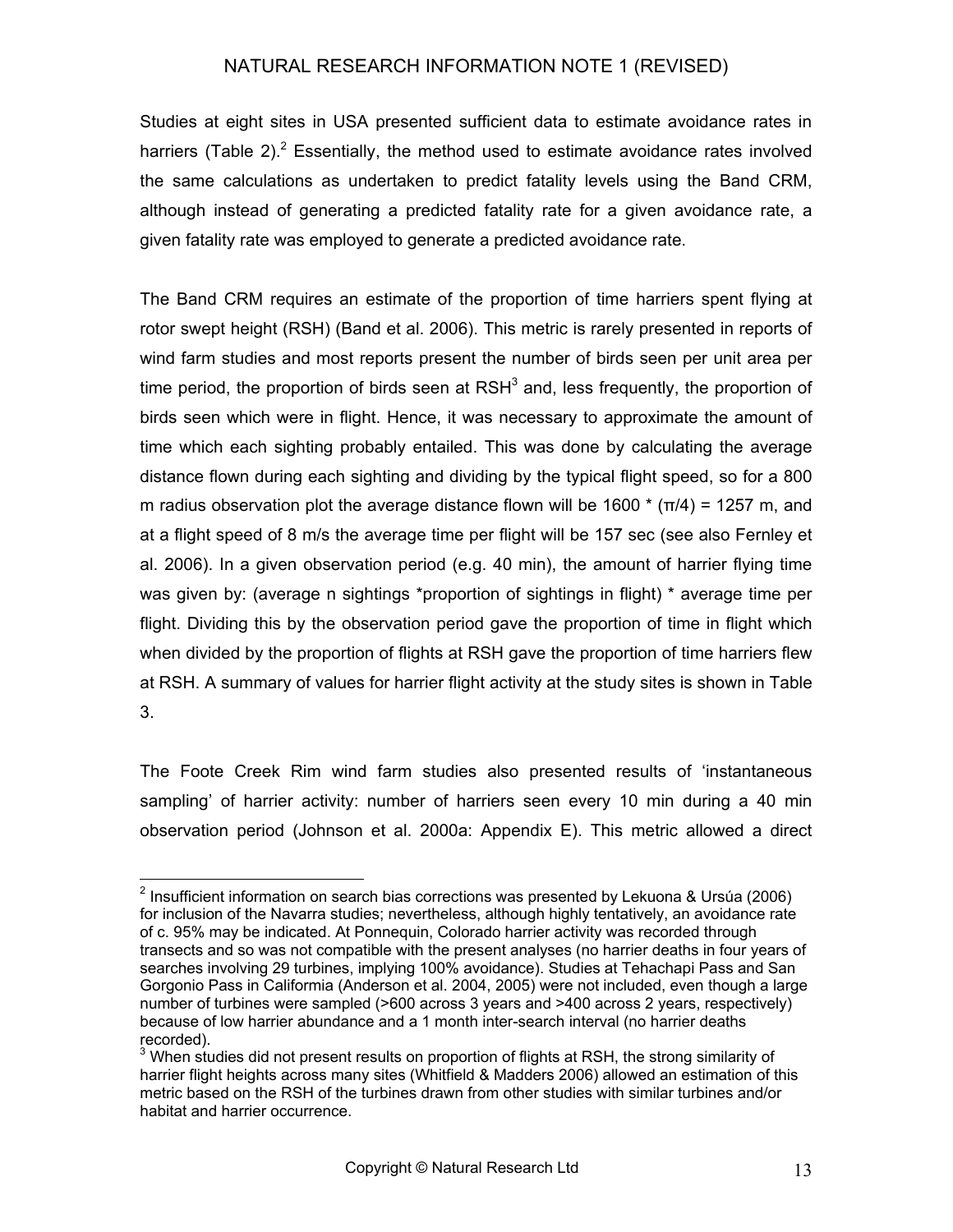Studies at eight sites in USA presented sufficient data to estimate avoidance rates in harriers (Table [2](#page-12-0)). $2$  Essentially, the method used to estimate avoidance rates involved the same calculations as undertaken to predict fatality levels using the Band CRM, although instead of generating a predicted fatality rate for a given avoidance rate, a given fatality rate was employed to generate a predicted avoidance rate.

The Band CRM requires an estimate of the proportion of time harriers spent flying at rotor swept height (RSH) (Band et al. 2006). This metric is rarely presented in reports of wind farm studies and most reports present the number of birds seen per unit area per time period, the proportion of birds seen at RSH<sup>[3](#page-12-1)</sup> and, less frequently, the proportion of birds seen which were in flight. Hence, it was necessary to approximate the amount of time which each sighting probably entailed. This was done by calculating the average distance flown during each sighting and dividing by the typical flight speed, so for a 800 m radius observation plot the average distance flown will be 1600  $*(\pi/4) = 1257$  m, and at a flight speed of 8 m/s the average time per flight will be 157 sec (see also Fernley et al. 2006). In a given observation period (e.g. 40 min), the amount of harrier flying time was given by: (average n sightings \*proportion of sightings in flight) \* average time per flight. Dividing this by the observation period gave the proportion of time in flight which when divided by the proportion of flights at RSH gave the proportion of time harriers flew at RSH. A summary of values for harrier flight activity at the study sites is shown in Table 3.

The Foote Creek Rim wind farm studies also presented results of 'instantaneous sampling' of harrier activity: number of harriers seen every 10 min during a 40 min observation period (Johnson et al. 2000a: Appendix E). This metric allowed a direct

<span id="page-12-0"></span> <sup>2</sup> Insufficient information on search bias corrections was presented by Lekuona & Ursúa (2006) for inclusion of the Navarra studies; nevertheless, although highly tentatively, an avoidance rate of c. 95% may be indicated. At Ponnequin, Colorado harrier activity was recorded through transects and so was not compatible with the present analyses (no harrier deaths in four years of searches involving 29 turbines, implying 100% avoidance). Studies at Tehachapi Pass and San Gorgonio Pass in Califormia (Anderson et al. 2004, 2005) were not included, even though a large number of turbines were sampled (>600 across 3 years and >400 across 2 years, respectively) because of low harrier abundance and a 1 month inter-search interval (no harrier deaths recorded).

<span id="page-12-1"></span> $3$  When studies did not present results on proportion of flights at RSH, the strong similarity of harrier flight heights across many sites (Whitfield & Madders 2006) allowed an estimation of this metric based on the RSH of the turbines drawn from other studies with similar turbines and/or habitat and harrier occurrence.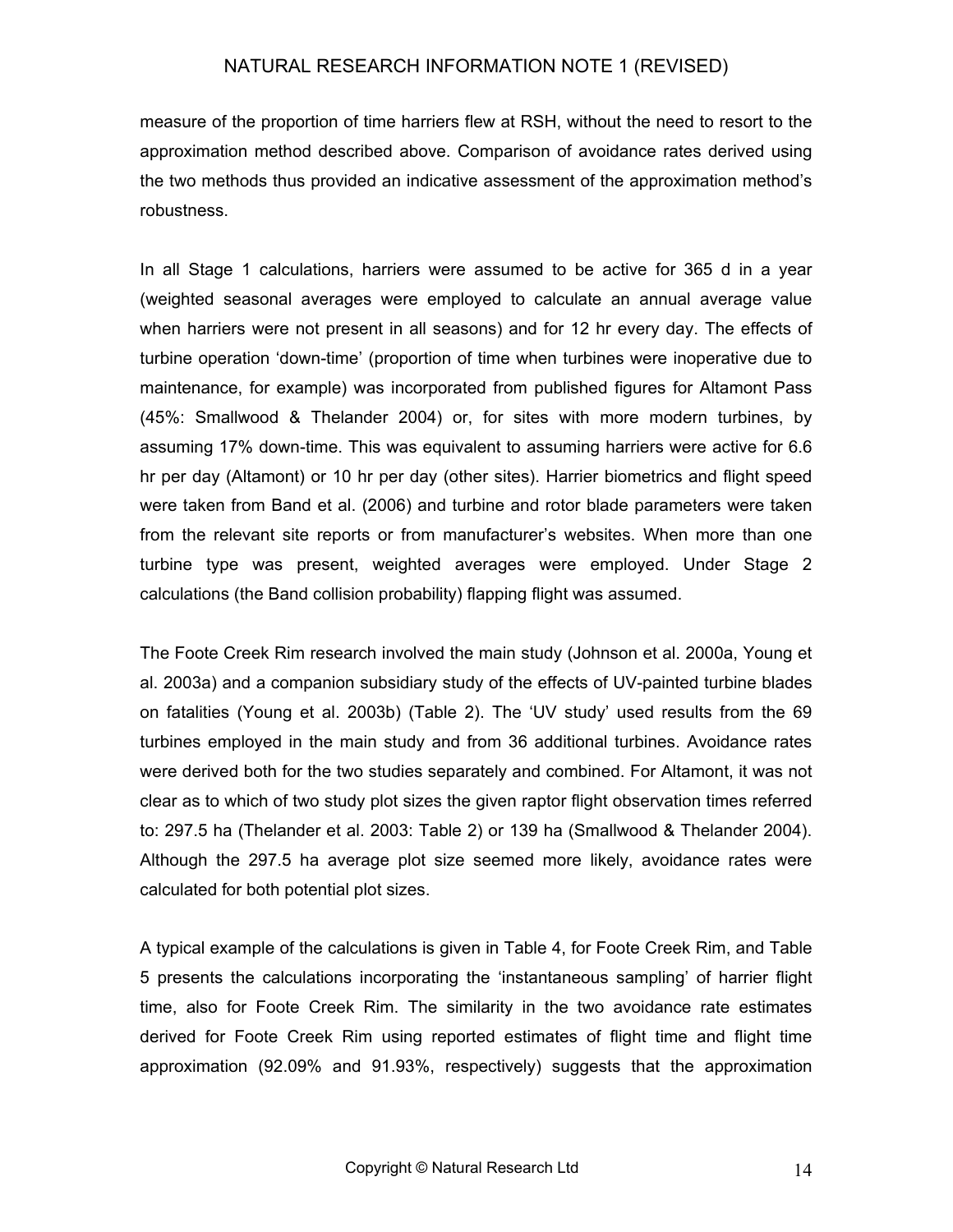measure of the proportion of time harriers flew at RSH, without the need to resort to the approximation method described above. Comparison of avoidance rates derived using the two methods thus provided an indicative assessment of the approximation method's robustness.

In all Stage 1 calculations, harriers were assumed to be active for 365 d in a year (weighted seasonal averages were employed to calculate an annual average value when harriers were not present in all seasons) and for 12 hr every day. The effects of turbine operation 'down-time' (proportion of time when turbines were inoperative due to maintenance, for example) was incorporated from published figures for Altamont Pass (45%: Smallwood & Thelander 2004) or, for sites with more modern turbines, by assuming 17% down-time. This was equivalent to assuming harriers were active for 6.6 hr per day (Altamont) or 10 hr per day (other sites). Harrier biometrics and flight speed were taken from Band et al. (2006) and turbine and rotor blade parameters were taken from the relevant site reports or from manufacturer's websites. When more than one turbine type was present, weighted averages were employed. Under Stage 2 calculations (the Band collision probability) flapping flight was assumed.

The Foote Creek Rim research involved the main study (Johnson et al. 2000a, Young et al. 2003a) and a companion subsidiary study of the effects of UV-painted turbine blades on fatalities (Young et al. 2003b) (Table 2). The 'UV study' used results from the 69 turbines employed in the main study and from 36 additional turbines. Avoidance rates were derived both for the two studies separately and combined. For Altamont, it was not clear as to which of two study plot sizes the given raptor flight observation times referred to: 297.5 ha (Thelander et al. 2003: Table 2) or 139 ha (Smallwood & Thelander 2004). Although the 297.5 ha average plot size seemed more likely, avoidance rates were calculated for both potential plot sizes.

A typical example of the calculations is given in Table 4, for Foote Creek Rim, and Table 5 presents the calculations incorporating the 'instantaneous sampling' of harrier flight time, also for Foote Creek Rim. The similarity in the two avoidance rate estimates derived for Foote Creek Rim using reported estimates of flight time and flight time approximation (92.09% and 91.93%, respectively) suggests that the approximation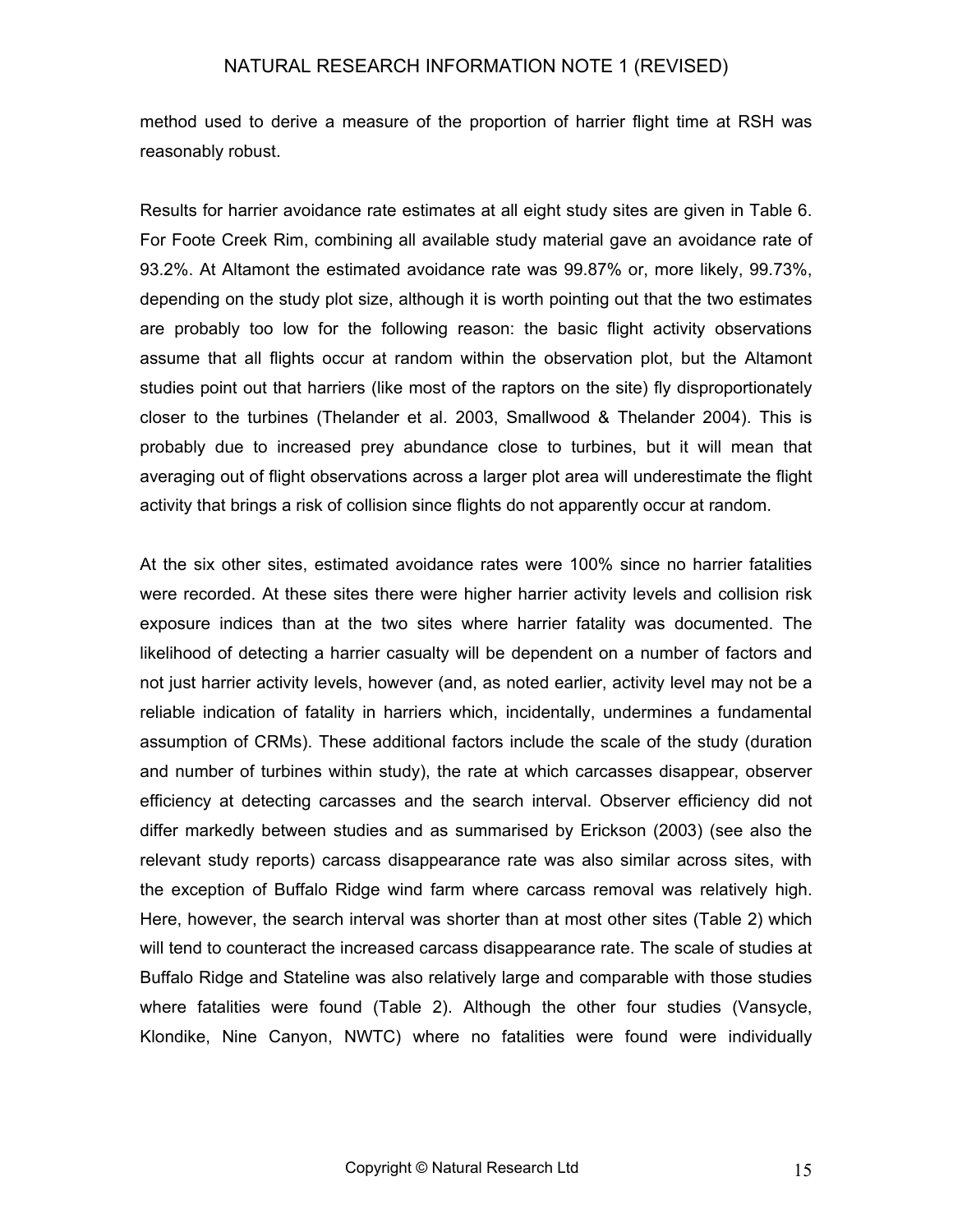method used to derive a measure of the proportion of harrier flight time at RSH was reasonably robust.

Results for harrier avoidance rate estimates at all eight study sites are given in Table 6. For Foote Creek Rim, combining all available study material gave an avoidance rate of 93.2%. At Altamont the estimated avoidance rate was 99.87% or, more likely, 99.73%, depending on the study plot size, although it is worth pointing out that the two estimates are probably too low for the following reason: the basic flight activity observations assume that all flights occur at random within the observation plot, but the Altamont studies point out that harriers (like most of the raptors on the site) fly disproportionately closer to the turbines (Thelander et al. 2003, Smallwood & Thelander 2004). This is probably due to increased prey abundance close to turbines, but it will mean that averaging out of flight observations across a larger plot area will underestimate the flight activity that brings a risk of collision since flights do not apparently occur at random.

At the six other sites, estimated avoidance rates were 100% since no harrier fatalities were recorded. At these sites there were higher harrier activity levels and collision risk exposure indices than at the two sites where harrier fatality was documented. The likelihood of detecting a harrier casualty will be dependent on a number of factors and not just harrier activity levels, however (and, as noted earlier, activity level may not be a reliable indication of fatality in harriers which, incidentally, undermines a fundamental assumption of CRMs). These additional factors include the scale of the study (duration and number of turbines within study), the rate at which carcasses disappear, observer efficiency at detecting carcasses and the search interval. Observer efficiency did not differ markedly between studies and as summarised by Erickson (2003) (see also the relevant study reports) carcass disappearance rate was also similar across sites, with the exception of Buffalo Ridge wind farm where carcass removal was relatively high. Here, however, the search interval was shorter than at most other sites (Table 2) which will tend to counteract the increased carcass disappearance rate. The scale of studies at Buffalo Ridge and Stateline was also relatively large and comparable with those studies where fatalities were found (Table 2). Although the other four studies (Vansycle, Klondike, Nine Canyon, NWTC) where no fatalities were found were individually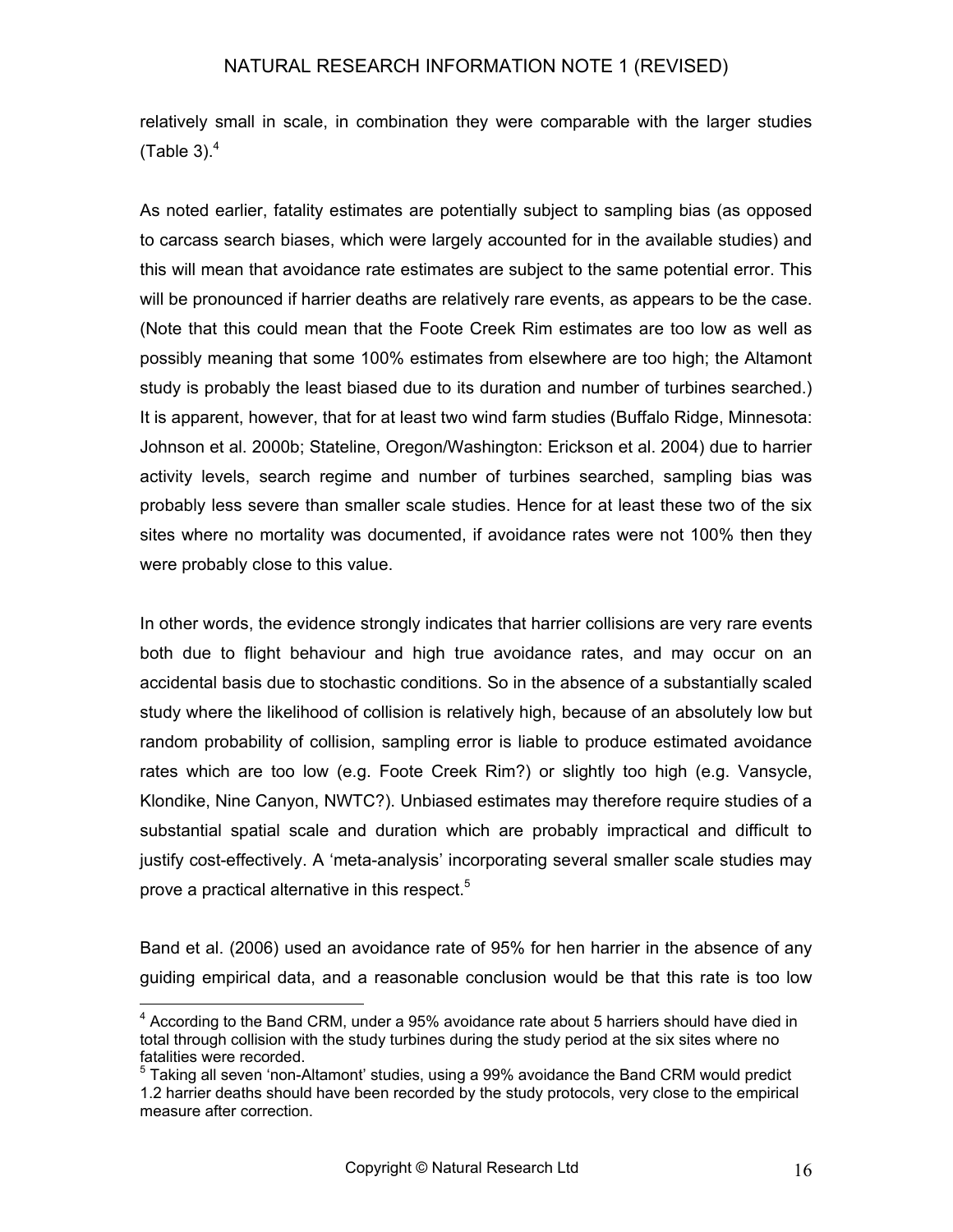relatively small in scale, in combination they were comparable with the larger studies (Table 3). $4$ 

As noted earlier, fatality estimates are potentially subject to sampling bias (as opposed to carcass search biases, which were largely accounted for in the available studies) and this will mean that avoidance rate estimates are subject to the same potential error. This will be pronounced if harrier deaths are relatively rare events, as appears to be the case. (Note that this could mean that the Foote Creek Rim estimates are too low as well as possibly meaning that some 100% estimates from elsewhere are too high; the Altamont study is probably the least biased due to its duration and number of turbines searched.) It is apparent, however, that for at least two wind farm studies (Buffalo Ridge, Minnesota: Johnson et al. 2000b; Stateline, Oregon/Washington: Erickson et al. 2004) due to harrier activity levels, search regime and number of turbines searched, sampling bias was probably less severe than smaller scale studies. Hence for at least these two of the six sites where no mortality was documented, if avoidance rates were not 100% then they were probably close to this value.

In other words, the evidence strongly indicates that harrier collisions are very rare events both due to flight behaviour and high true avoidance rates, and may occur on an accidental basis due to stochastic conditions. So in the absence of a substantially scaled study where the likelihood of collision is relatively high, because of an absolutely low but random probability of collision, sampling error is liable to produce estimated avoidance rates which are too low (e.g. Foote Creek Rim?) or slightly too high (e.g. Vansycle, Klondike, Nine Canyon, NWTC?). Unbiased estimates may therefore require studies of a substantial spatial scale and duration which are probably impractical and difficult to justify cost-effectively. A 'meta-analysis' incorporating several smaller scale studies may prove a practical alternative in this respect.<sup>5</sup>

Band et al. (2006) used an avoidance rate of 95% for hen harrier in the absence of any guiding empirical data, and a reasonable conclusion would be that this rate is too low

<span id="page-15-0"></span> <sup>4</sup> According to the Band CRM, under a 95% avoidance rate about 5 harriers should have died in total through collision with the study turbines during the study period at the six sites where no fatalities were recorded.

<span id="page-15-1"></span><sup>&</sup>lt;sup>5</sup> Taking all seven 'non-Altamont' studies, using a 99% avoidance the Band CRM would predict 1.2 harrier deaths should have been recorded by the study protocols, very close to the empirical measure after correction.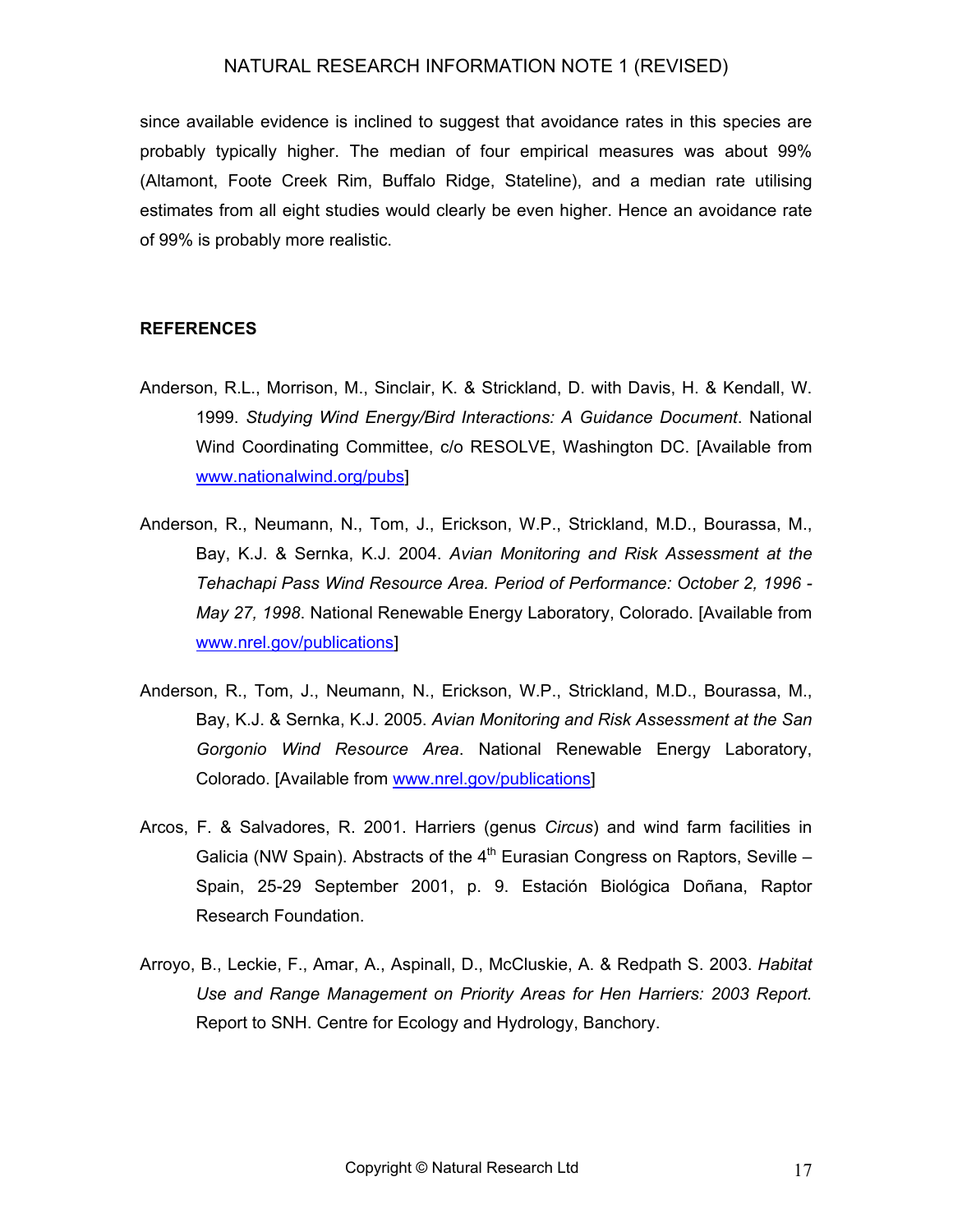since available evidence is inclined to suggest that avoidance rates in this species are probably typically higher. The median of four empirical measures was about 99% (Altamont, Foote Creek Rim, Buffalo Ridge, Stateline), and a median rate utilising estimates from all eight studies would clearly be even higher. Hence an avoidance rate of 99% is probably more realistic.

#### **REFERENCES**

- Anderson, R.L., Morrison, M., Sinclair, K. & Strickland, D. with Davis, H. & Kendall, W. 1999. *Studying Wind Energy/Bird Interactions: A Guidance Document*. National Wind Coordinating Committee, c/o RESOLVE, Washington DC. [Available from [www.nationalwind.org/pubs\]](http://www.nationalwind.org/pubs)
- Anderson, R., Neumann, N., Tom, J., Erickson, W.P., Strickland, M.D., Bourassa, M., Bay, K.J. & Sernka, K.J. 2004. *Avian Monitoring and Risk Assessment at the Tehachapi Pass Wind Resource Area. Period of Performance: October 2, 1996 - May 27, 1998*. National Renewable Energy Laboratory, Colorado. [Available from [www.nrel.gov/publications](http://www.nrel.gov/publications)]
- Anderson, R., Tom, J., Neumann, N., Erickson, W.P., Strickland, M.D., Bourassa, M., Bay, K.J. & Sernka, K.J. 2005. *Avian Monitoring and Risk Assessment at the San Gorgonio Wind Resource Area*. National Renewable Energy Laboratory, Colorado. [Available from [www.nrel.gov/publications\]](http://www.nrel.gov/publications)
- Arcos, F. & Salvadores, R. 2001. Harriers (genus *Circus*) and wind farm facilities in Galicia (NW Spain). Abstracts of the  $4<sup>th</sup>$  Eurasian Congress on Raptors, Seville – Spain, 25-29 September 2001, p. 9. Estación Biológica Doñana, Raptor Research Foundation.
- Arroyo, B., Leckie, F., Amar, A., Aspinall, D., McCluskie, A. & Redpath S. 2003. *Habitat Use and Range Management on Priority Areas for Hen Harriers: 2003 Report.* Report to SNH. Centre for Ecology and Hydrology, Banchory.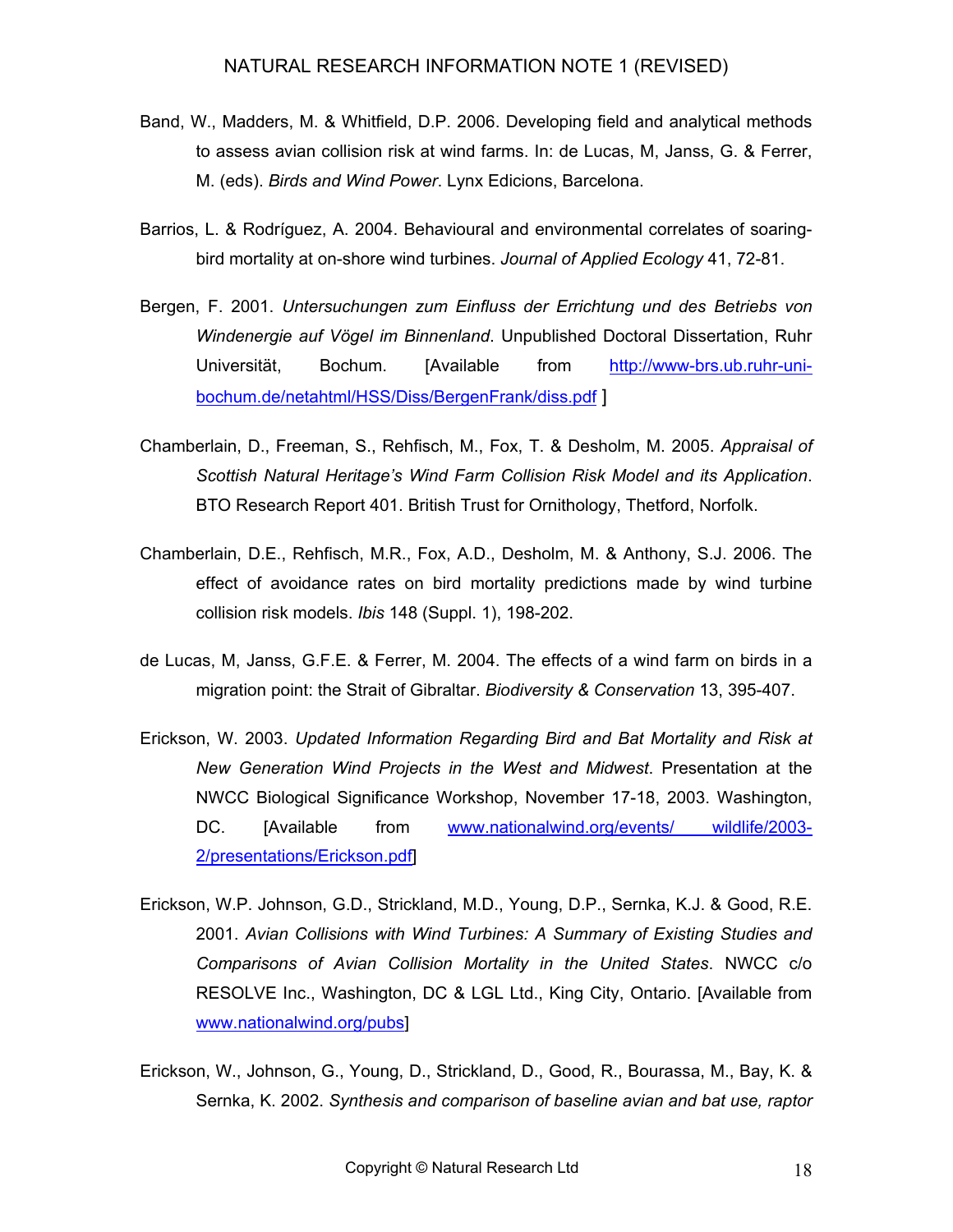- Band, W., Madders, M. & Whitfield, D.P. 2006. Developing field and analytical methods to assess avian collision risk at wind farms. In: de Lucas, M, Janss, G. & Ferrer, M. (eds). *Birds and Wind Power*. Lynx Edicions, Barcelona.
- Barrios, L. & Rodríguez, A. 2004. Behavioural and environmental correlates of soaringbird mortality at on-shore wind turbines. *Journal of Applied Ecology* 41, 72-81.
- Bergen, F. 2001. *Untersuchungen zum Einfluss der Errichtung und des Betriebs von Windenergie auf Vögel im Binnenland*. Unpublished Doctoral Dissertation, Ruhr Universität, Bochum. [Available from [http://www-brs.ub.ruhr-uni](http://www-brs.ub.ruhr-uni-bochum.de/netahtml/HSS/Diss/BergenFrank/diss.pdf)[bochum.de/netahtml/HSS/Diss/BergenFrank/diss.pdf](http://www-brs.ub.ruhr-uni-bochum.de/netahtml/HSS/Diss/BergenFrank/diss.pdf) ]
- Chamberlain, D., Freeman, S., Rehfisch, M., Fox, T. & Desholm, M. 2005. *Appraisal of Scottish Natural Heritage's Wind Farm Collision Risk Model and its Application*. BTO Research Report 401. British Trust for Ornithology, Thetford, Norfolk.
- Chamberlain, D.E., Rehfisch, M.R., Fox, A.D., Desholm, M. & Anthony, S.J. 2006. The effect of avoidance rates on bird mortality predictions made by wind turbine collision risk models. *Ibis* 148 (Suppl. 1), 198-202.
- de Lucas, M, Janss, G.F.E. & Ferrer, M. 2004. The effects of a wind farm on birds in a migration point: the Strait of Gibraltar. *Biodiversity & Conservation* 13, 395-407.
- Erickson, W. 2003. *Updated Information Regarding Bird and Bat Mortality and Risk at New Generation Wind Projects in the West and Midwest*. Presentation at the NWCC Biological Significance Workshop, November 17-18, 2003. Washington, DC. [Available from [www.nationalwind.org/events/ wildlife/2003-](http://www.nationalwind.org/events/ wildlife/2003-2/presentations/Podolsky.pdf) [2/presentations/Erickson.pdf\]](http://www.nationalwind.org/events/ wildlife/2003-2/presentations/Podolsky.pdf)
- Erickson, W.P. Johnson, G.D., Strickland, M.D., Young, D.P., Sernka, K.J. & Good, R.E. 2001. *Avian Collisions with Wind Turbines: A Summary of Existing Studies and Comparisons of Avian Collision Mortality in the United States*. NWCC c/o RESOLVE Inc., Washington, DC & LGL Ltd., King City, Ontario. [Available from [www.nationalwind.org/pubs\]](http://www.nationalwind.org/pubs)
- Erickson, W., Johnson, G., Young, D., Strickland, D., Good, R., Bourassa, M., Bay, K. & Sernka, K. 2002. *Synthesis and comparison of baseline avian and bat use, raptor*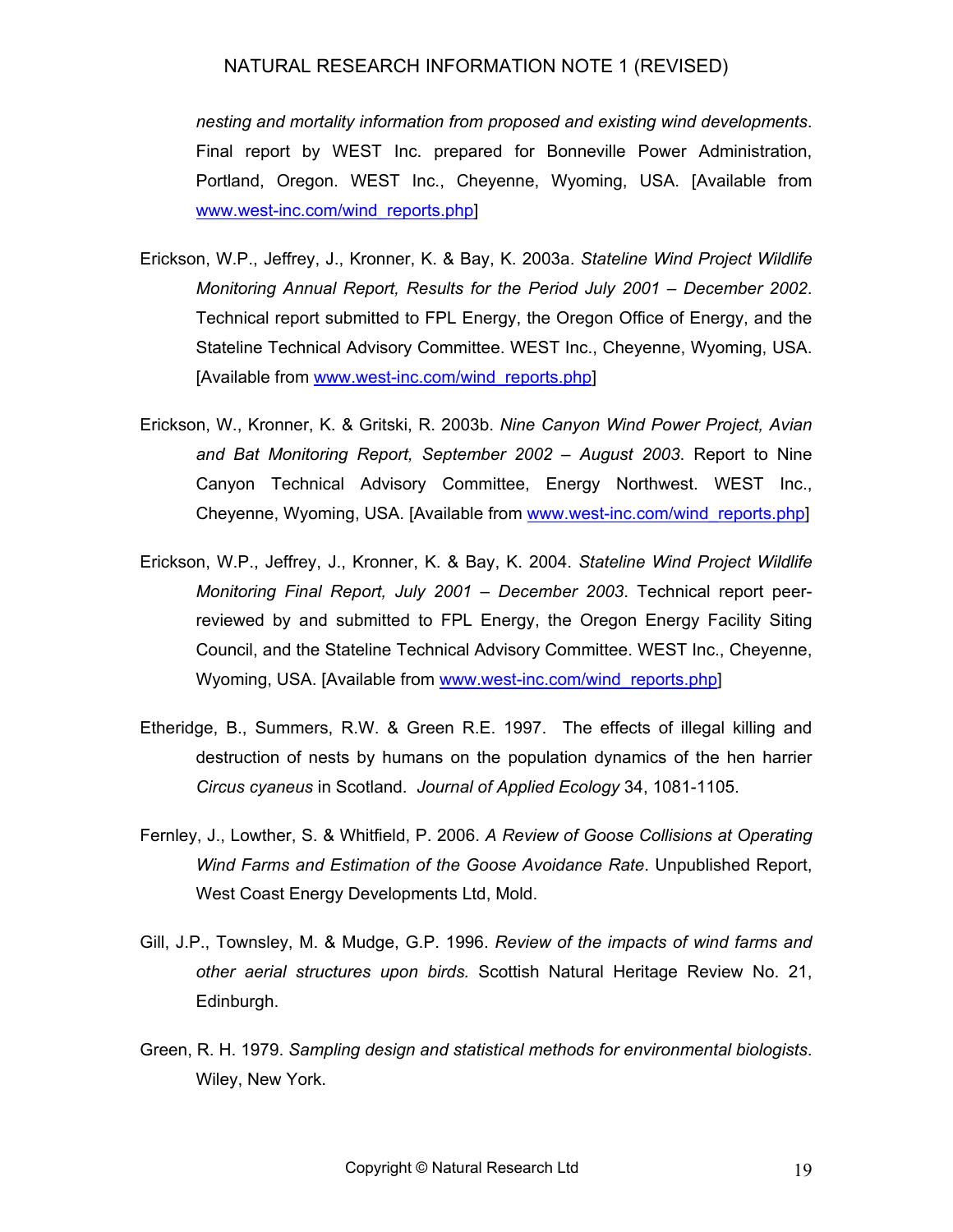*nesting and mortality information from proposed and existing wind developments*. Final report by WEST Inc. prepared for Bonneville Power Administration, Portland, Oregon. WEST Inc., Cheyenne, Wyoming, USA. [Available from [www.west-inc.com/wind\\_reports.php](http://www.west-inc.com/wind_reports.php)]

- Erickson, W.P., Jeffrey, J., Kronner, K. & Bay, K. 2003a. *Stateline Wind Project Wildlife Monitoring Annual Report, Results for the Period July 2001 – December 2002*. Technical report submitted to FPL Energy, the Oregon Office of Energy, and the Stateline Technical Advisory Committee. WEST Inc., Cheyenne, Wyoming, USA. [Available from [www.west-inc.com/wind\\_reports.php](http://www.west-inc.com/wind_reports.php)]
- Erickson, W., Kronner, K. & Gritski, R. 2003b. *Nine Canyon Wind Power Project, Avian and Bat Monitoring Report, September 2002 – August 2003*. Report to Nine Canyon Technical Advisory Committee, Energy Northwest. WEST Inc., Cheyenne, Wyoming, USA. [Available from [www.west-inc.com/wind\\_reports.php](http://www.west-inc.com/wind_reports.php)]
- Erickson, W.P., Jeffrey, J., Kronner, K. & Bay, K. 2004. *Stateline Wind Project Wildlife Monitoring Final Report, July 2001 – December 2003*. Technical report peerreviewed by and submitted to FPL Energy, the Oregon Energy Facility Siting Council, and the Stateline Technical Advisory Committee. WEST Inc., Cheyenne, Wyoming, USA. [Available from [www.west-inc.com/wind\\_reports.php](http://www.west-inc.com/wind_reports.php)]
- Etheridge, B., Summers, R.W. & Green R.E. 1997. The effects of illegal killing and destruction of nests by humans on the population dynamics of the hen harrier *Circus cyaneus* in Scotland. *Journal of Applied Ecology* 34, 1081-1105.
- Fernley, J., Lowther, S. & Whitfield, P. 2006. *A Review of Goose Collisions at Operating Wind Farms and Estimation of the Goose Avoidance Rate*. Unpublished Report, West Coast Energy Developments Ltd, Mold.
- Gill, J.P., Townsley, M. & Mudge, G.P. 1996. *Review of the impacts of wind farms and other aerial structures upon birds.* Scottish Natural Heritage Review No. 21, Edinburgh.
- Green, R. H. 1979. *Sampling design and statistical methods for environmental biologists*. Wiley, New York.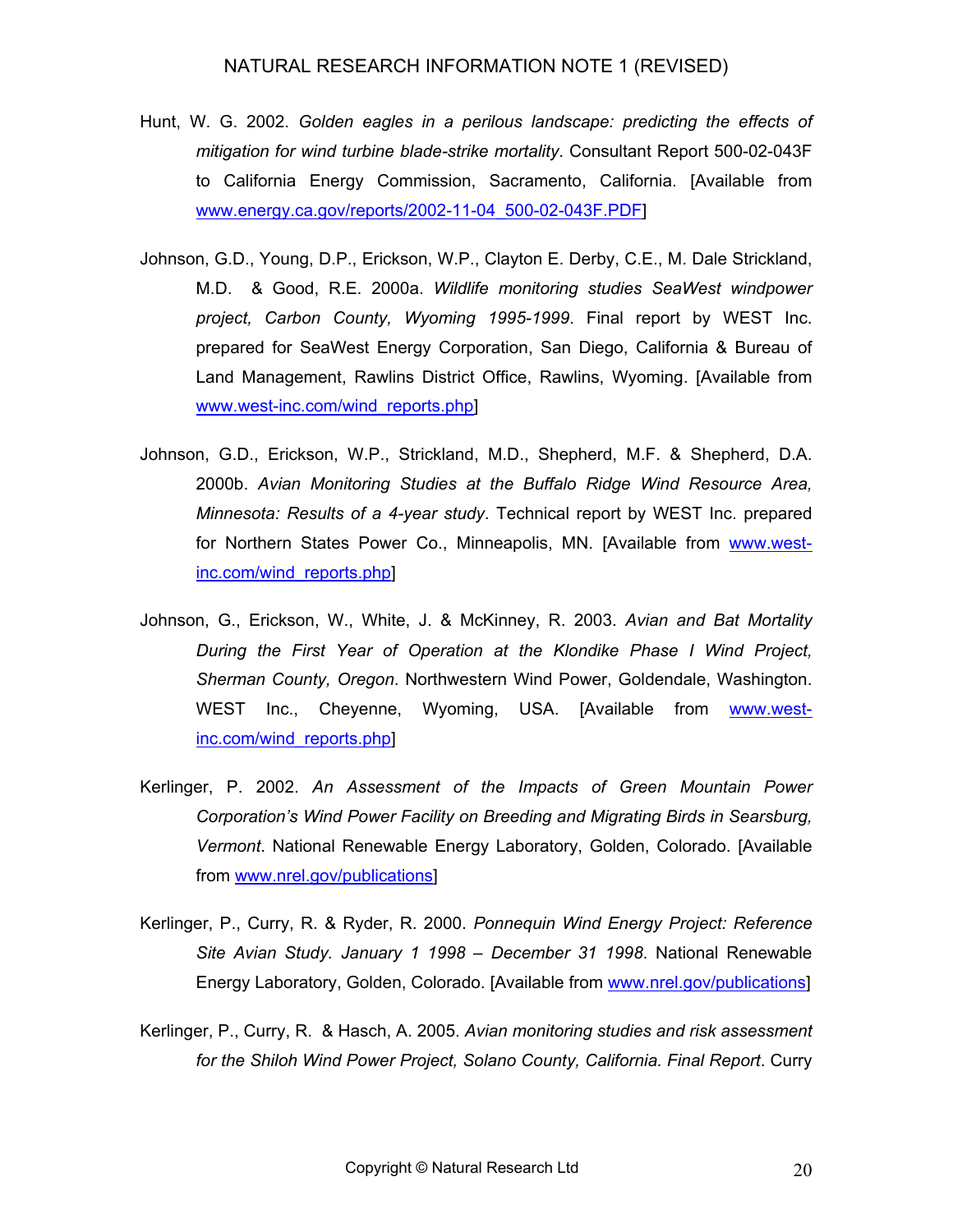- Hunt, W. G. 2002. *Golden eagles in a perilous landscape: predicting the effects of mitigation for wind turbine blade-strike mortality*. Consultant Report 500-02-043F to California Energy Commission, Sacramento, California. [Available from [www.energy.ca.gov/reports/2002-11-04\\_500-02-043F.PDF\]](http://www.energy.ca.gov/reports/2002-11-04_500-02-043F.PDF)
- Johnson, G.D., Young, D.P., Erickson, W.P., Clayton E. Derby, C.E., M. Dale Strickland, M.D. & Good, R.E. 2000a. *Wildlife monitoring studies SeaWest windpower project, Carbon County, Wyoming 1995-1999*. Final report by WEST Inc. prepared for SeaWest Energy Corporation, San Diego, California & Bureau of Land Management, Rawlins District Office, Rawlins, Wyoming. [Available from [www.west-inc.com/wind\\_reports.php](http://www.west-inc.com/wind_reports.php)]
- Johnson, G.D., Erickson, W.P., Strickland, M.D., Shepherd, M.F. & Shepherd, D.A. 2000b. *Avian Monitoring Studies at the Buffalo Ridge Wind Resource Area, Minnesota: Results of a 4-year study*. Technical report by WEST Inc. prepared for Northern States Power Co., Minneapolis, MN. [Available from [www.west](http://www.west-inc.com/wind_reports.php)[inc.com/wind\\_reports.php](http://www.west-inc.com/wind_reports.php)]
- Johnson, G., Erickson, W., White, J. & McKinney, R. 2003. *Avian and Bat Mortality During the First Year of Operation at the Klondike Phase I Wind Project, Sherman County, Oregon*. Northwestern Wind Power, Goldendale, Washington. WEST Inc., Cheyenne, Wyoming, USA. [Available from [www.west](http://www.west-inc.com/wind_reports.php)[inc.com/wind\\_reports.php](http://www.west-inc.com/wind_reports.php)]
- Kerlinger, P. 2002. *An Assessment of the Impacts of Green Mountain Power Corporation's Wind Power Facility on Breeding and Migrating Birds in Searsburg, Vermont*. National Renewable Energy Laboratory, Golden, Colorado. [Available from<www.nrel.gov/publications>]
- Kerlinger, P., Curry, R. & Ryder, R. 2000. *Ponnequin Wind Energy Project: Reference Site Avian Study. January 1 1998 – December 31 1998*. National Renewable Energy Laboratory, Golden, Colorado. [Available from [www.nrel.gov/publications](http://www.nrel.gov/publications)]
- Kerlinger, P., Curry, R. & Hasch, A. 2005. *Avian monitoring studies and risk assessment for the Shiloh Wind Power Project, Solano County, California. Final Report*. Curry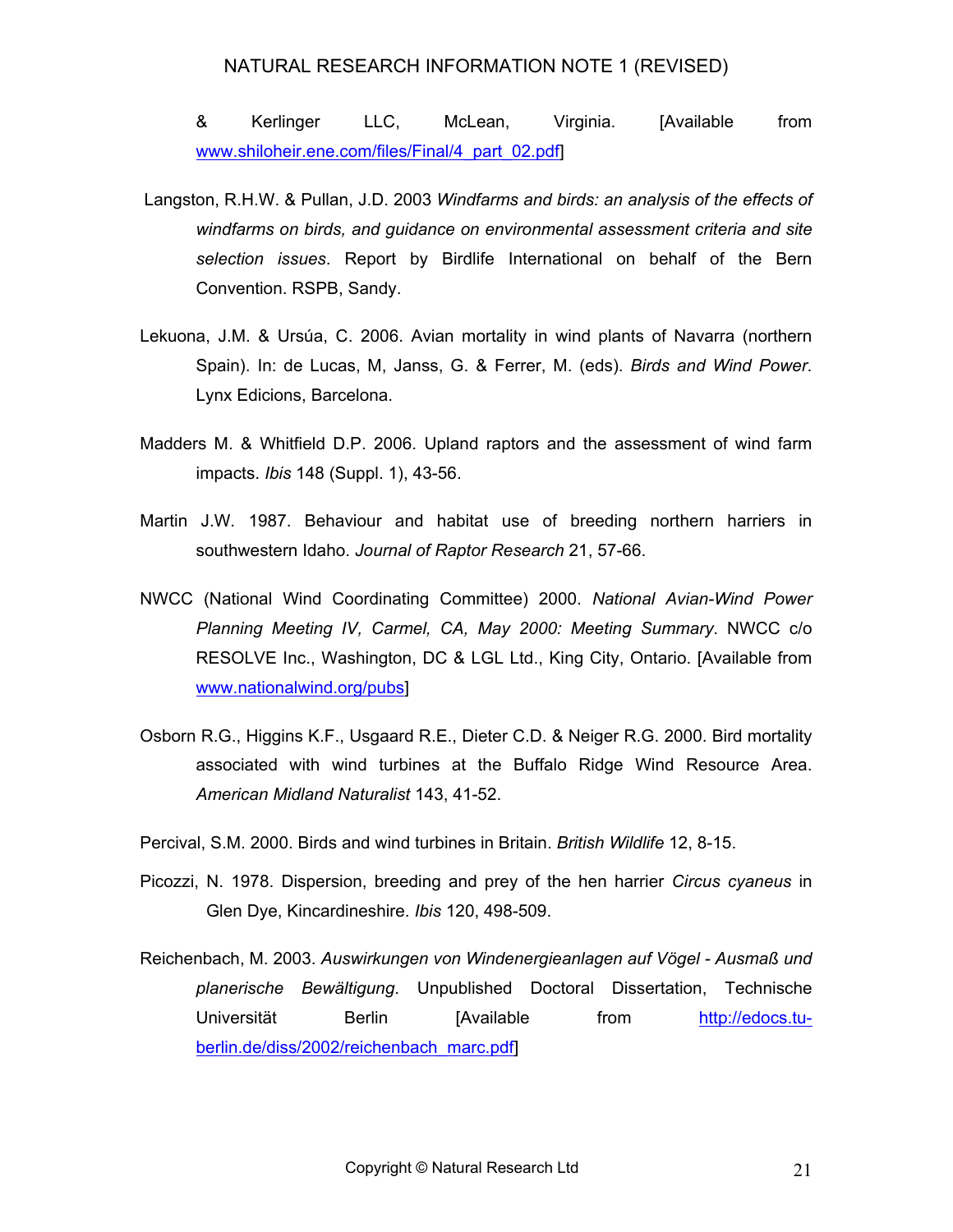& Kerlinger LLC, McLean, Virginia. [Available from [www.shiloheir.ene.com/files/Final/4\\_part\\_02.pdf\]](www.shiloheir.ene.com/files/Final/4_part_02.pdf)

- Langston, R.H.W. & Pullan, J.D. 2003 *Windfarms and birds: an analysis of the effects of windfarms on birds, and guidance on environmental assessment criteria and site selection issues*. Report by Birdlife International on behalf of the Bern Convention. RSPB, Sandy.
- Lekuona, J.M. & Ursúa, C. 2006. Avian mortality in wind plants of Navarra (northern Spain). In: de Lucas, M, Janss, G. & Ferrer, M. (eds). *Birds and Wind Power*. Lynx Edicions, Barcelona.
- Madders M. & Whitfield D.P. 2006. Upland raptors and the assessment of wind farm impacts. *Ibis* 148 (Suppl. 1), 43-56.
- Martin J.W. 1987. Behaviour and habitat use of breeding northern harriers in southwestern Idaho. *Journal of Raptor Research* 21, 57-66.
- NWCC (National Wind Coordinating Committee) 2000. *National Avian-Wind Power Planning Meeting IV, Carmel, CA, May 2000: Meeting Summary*. NWCC c/o RESOLVE Inc., Washington, DC & LGL Ltd., King City, Ontario. [Available from [www.nationalwind.org/pubs\]](http://www.nationalwind.org/pubs)
- Osborn R.G., Higgins K.F., Usgaard R.E., Dieter C.D. & Neiger R.G. 2000. Bird mortality associated with wind turbines at the Buffalo Ridge Wind Resource Area. *American Midland Naturalist* 143, 41-52.
- Percival, S.M. 2000. Birds and wind turbines in Britain. *British Wildlife* 12, 8-15.
- Picozzi, N. 1978. Dispersion, breeding and prey of the hen harrier *Circus cyaneus* in Glen Dye, Kincardineshire. *Ibis* 120, 498-509.
- Reichenbach, M. 2003. *Auswirkungen von Windenergieanlagen auf Vögel Ausmaß und planerische Bewältigung*. Unpublished Doctoral Dissertation, Technische Universität Berlin [Available from [http://edocs.tu](http://edocs.tu-berlin.de/diss/2002/reichenbach_marc.pdf)[berlin.de/diss/2002/reichenbach\\_marc.pdf](http://edocs.tu-berlin.de/diss/2002/reichenbach_marc.pdf)]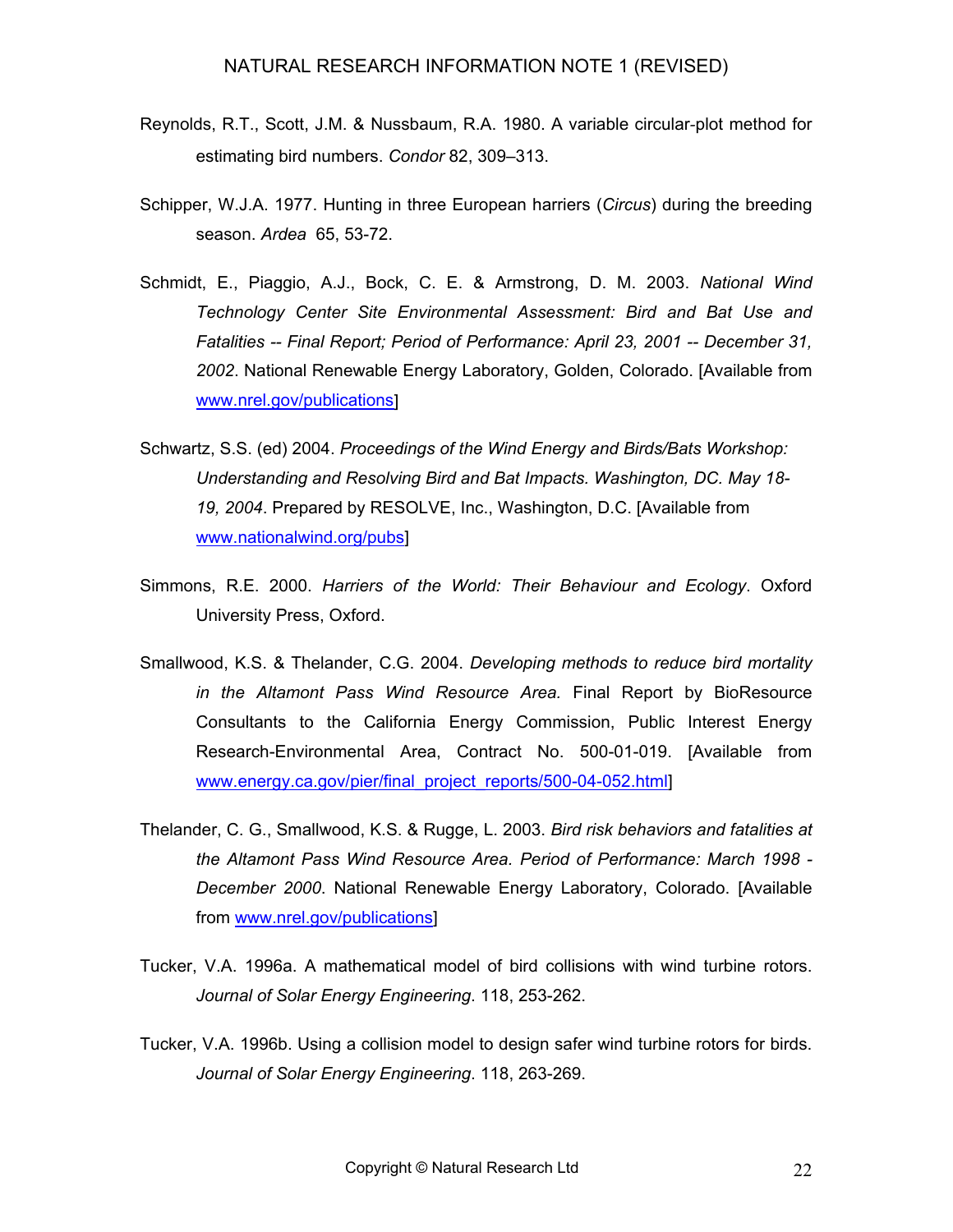- Reynolds, R.T., Scott, J.M. & Nussbaum, R.A. 1980. A variable circular-plot method for estimating bird numbers. *Condor* 82, 309–313.
- Schipper, W.J.A. 1977. Hunting in three European harriers (*Circus*) during the breeding season. *Ardea* 65, 53-72.
- Schmidt, E., Piaggio, A.J., Bock, C. E. & Armstrong, D. M. 2003. *National Wind Technology Center Site Environmental Assessment: Bird and Bat Use and Fatalities -- Final Report; Period of Performance: April 23, 2001 -- December 31, 2002*. National Renewable Energy Laboratory, Golden, Colorado. [Available from [www.nrel.gov/publications](http://www.nrel.gov/publications)]
- Schwartz, S.S. (ed) 2004. *Proceedings of the Wind Energy and Birds/Bats Workshop: Understanding and Resolving Bird and Bat Impacts. Washington, DC. May 18- 19, 2004*. Prepared by RESOLVE, Inc., Washington, D.C. [Available from [www.nationalwind.org/pubs\]](http://www.nationalwind.org/pubs)
- Simmons, R.E. 2000. *Harriers of the World: Their Behaviour and Ecology*. Oxford University Press, Oxford.
- Smallwood, K.S. & Thelander, C.G. 2004. *Developing methods to reduce bird mortality in the Altamont Pass Wind Resource Area.* Final Report by BioResource Consultants to the California Energy Commission, Public Interest Energy Research-Environmental Area, Contract No. 500-01-019. [Available from [www.energy.ca.gov/pier/final\\_project\\_reports/500-04-052.html](http://www.energy.ca.gov/pier/final_project_reports/500-04-052.html)]
- Thelander, C. G., Smallwood, K.S. & Rugge, L. 2003. *Bird risk behaviors and fatalities at the Altamont Pass Wind Resource Area. Period of Performance: March 1998 - December 2000*. National Renewable Energy Laboratory, Colorado. [Available from [www.nrel.gov/publications](http://www.nrel.gov/publications)]
- Tucker, V.A. 1996a. A mathematical model of bird collisions with wind turbine rotors. *Journal of Solar Energy Engineering*. 118, 253-262.
- Tucker, V.A. 1996b. Using a collision model to design safer wind turbine rotors for birds. *Journal of Solar Energy Engineering*. 118, 263-269.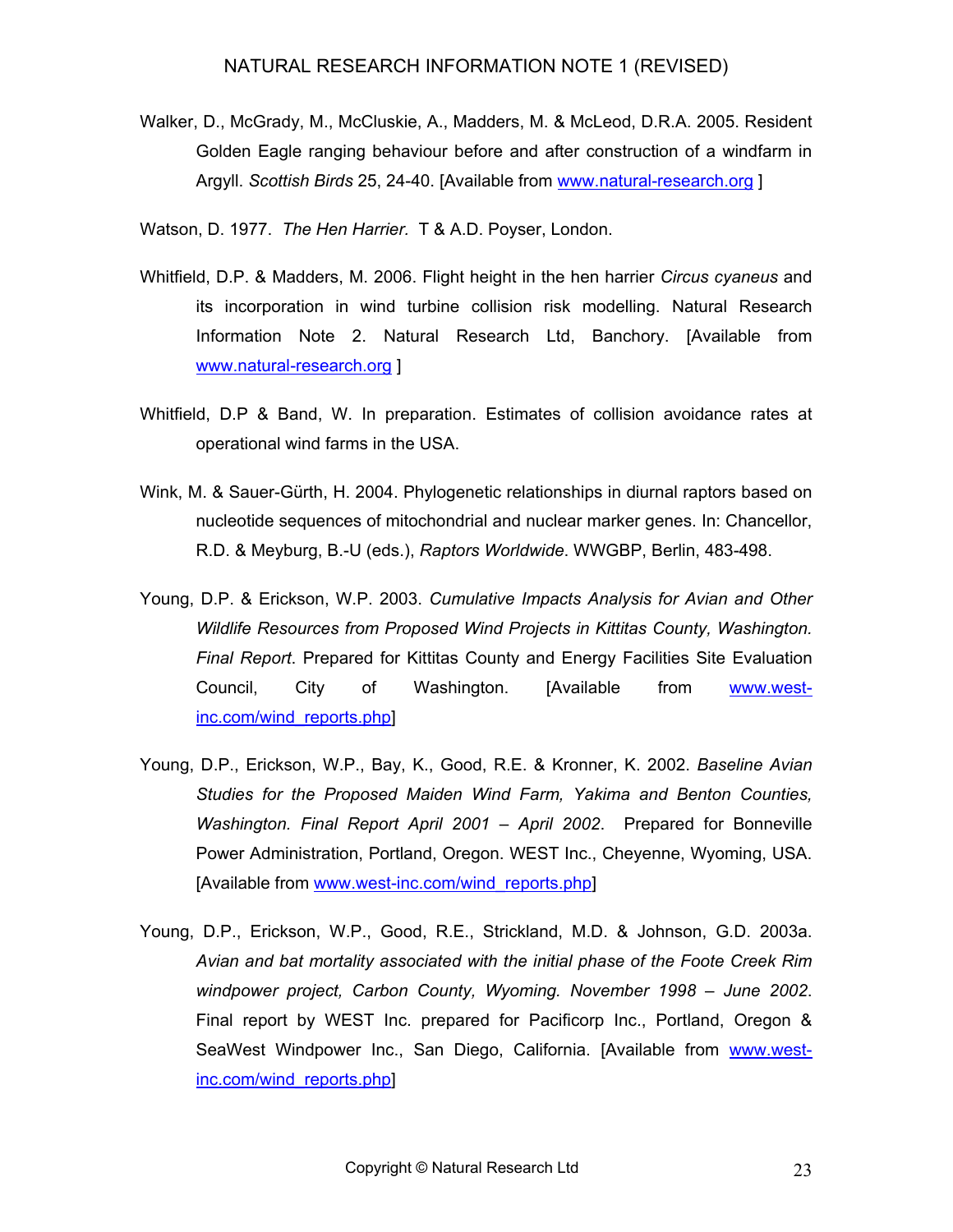- Walker, D., McGrady, M., McCluskie, A., Madders, M. & McLeod, D.R.A. 2005. Resident Golden Eagle ranging behaviour before and after construction of a windfarm in Argyll. *Scottish Birds* 25, 24-40. [Available from [www.natural-research.org](http://www.natural-research.org/) ]
- Watson, D. 1977. *The Hen Harrier.* T & A.D. Poyser, London.
- Whitfield, D.P. & Madders, M. 2006. Flight height in the hen harrier *Circus cyaneus* and its incorporation in wind turbine collision risk modelling. Natural Research Information Note 2. Natural Research Ltd, Banchory. [Available from [www.natural-research.org](http://www.natural-research.org/) ]
- Whitfield, D.P & Band, W. In preparation. Estimates of collision avoidance rates at operational wind farms in the USA.
- Wink, M. & Sauer-Gürth, H. 2004. Phylogenetic relationships in diurnal raptors based on nucleotide sequences of mitochondrial and nuclear marker genes. In: Chancellor, R.D. & Meyburg, B.-U (eds.), *Raptors Worldwide*. WWGBP, Berlin, 483-498.
- Young, D.P. & Erickson, W.P. 2003. *Cumulative Impacts Analysis for Avian and Other Wildlife Resources from Proposed Wind Projects in Kittitas County, Washington. Final Report*. Prepared for Kittitas County and Energy Facilities Site Evaluation Council, City of Washington. [Available from [www.west](http://www.west-inc.com/wind_reports.php)[inc.com/wind\\_reports.php](http://www.west-inc.com/wind_reports.php)]
- Young, D.P., Erickson, W.P., Bay, K., Good, R.E. & Kronner, K. 2002. *Baseline Avian Studies for the Proposed Maiden Wind Farm, Yakima and Benton Counties, Washington. Final Report April 2001 – April 2002*. Prepared for Bonneville Power Administration, Portland, Oregon. WEST Inc., Cheyenne, Wyoming, USA. [Available from [www.west-inc.com/wind\\_reports.php](http://www.west-inc.com/wind_reports.php)]
- Young, D.P., Erickson, W.P., Good, R.E., Strickland, M.D. & Johnson, G.D. 2003a. *Avian and bat mortality associated with the initial phase of the Foote Creek Rim windpower project, Carbon County, Wyoming. November 1998 – June 2002*. Final report by WEST Inc. prepared for Pacificorp Inc., Portland, Oregon & SeaWest Windpower Inc., San Diego, California. [Available from [www.west](http://www.west-inc.com/wind_reports.php)[inc.com/wind\\_reports.php](http://www.west-inc.com/wind_reports.php)]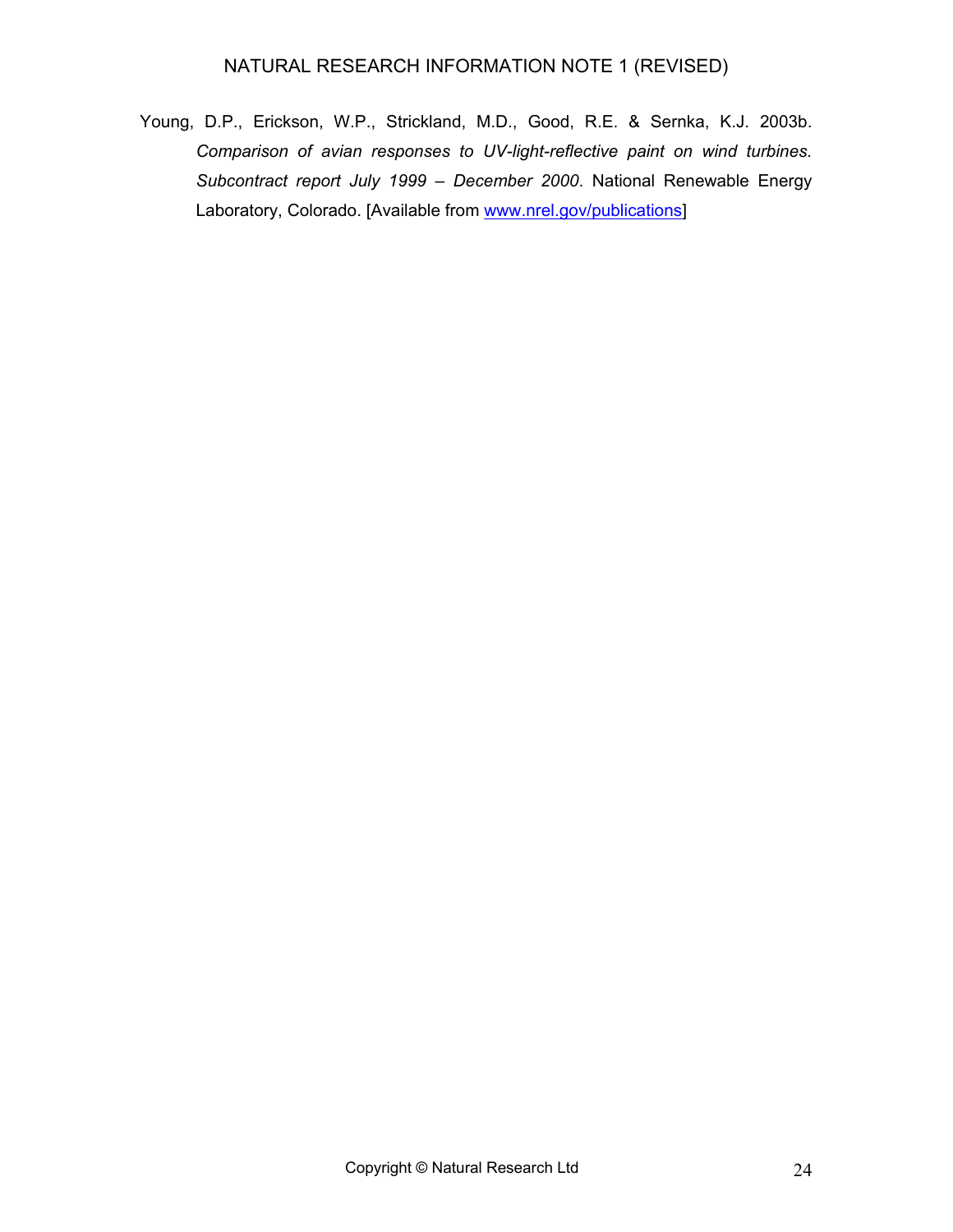Young, D.P., Erickson, W.P., Strickland, M.D., Good, R.E. & Sernka, K.J. 2003b. *Comparison of avian responses to UV-light-reflective paint on wind turbines. Subcontract report July 1999 – December 2000*. National Renewable Energy Laboratory, Colorado. [Available from [www.nrel.gov/publications](http://www.nrel.gov/publications)]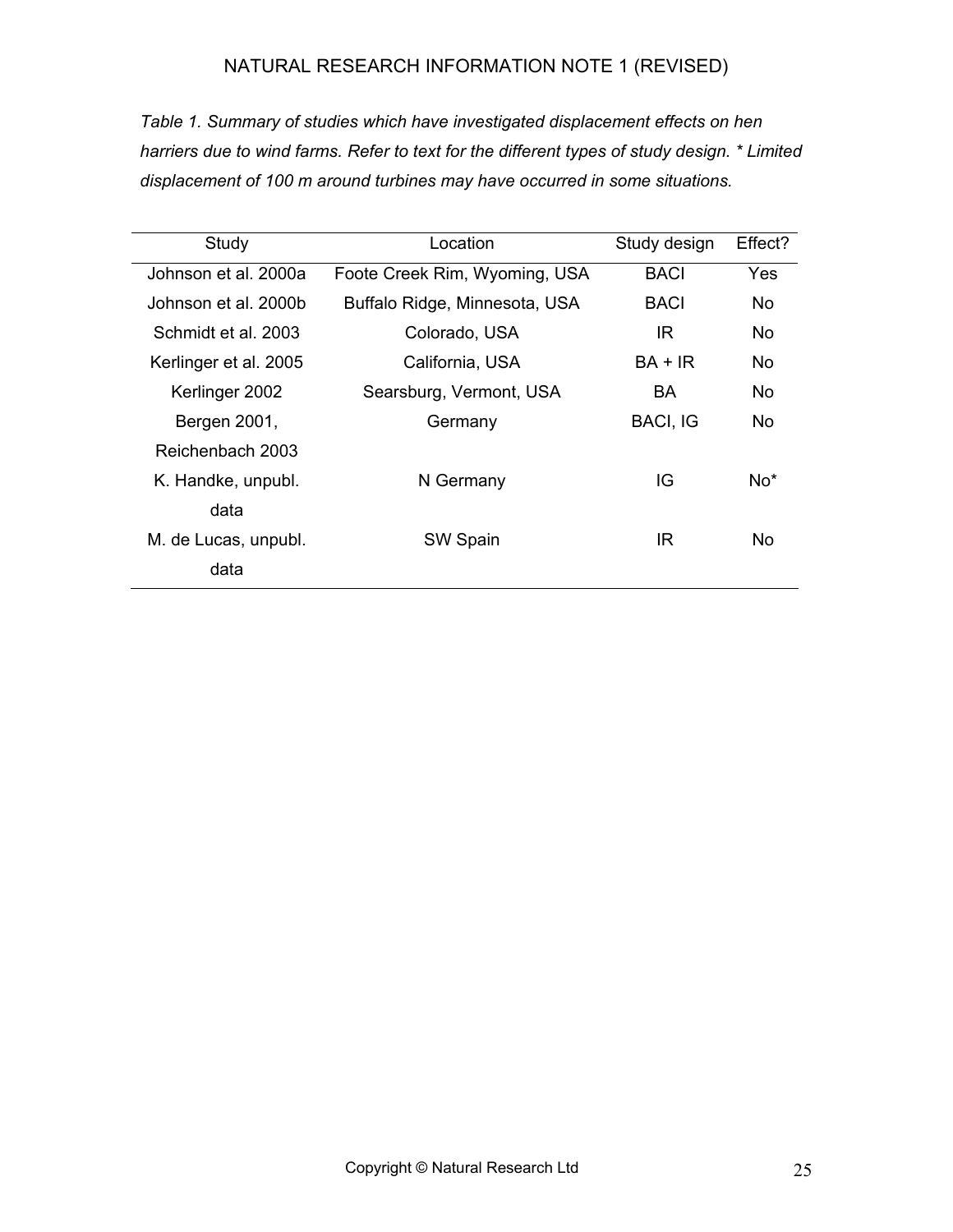*Table 1. Summary of studies which have investigated displacement effects on hen harriers due to wind farms. Refer to text for the different types of study design. \* Limited displacement of 100 m around turbines may have occurred in some situations.* 

| Study                 | Location                      | Study design    | Effect? |
|-----------------------|-------------------------------|-----------------|---------|
| Johnson et al. 2000a  | Foote Creek Rim, Wyoming, USA | <b>BACI</b>     | Yes     |
| Johnson et al. 2000b  | Buffalo Ridge, Minnesota, USA | <b>BACI</b>     | No.     |
| Schmidt et al. 2003   | Colorado, USA                 | IR.             | No.     |
| Kerlinger et al. 2005 | California, USA               | $BA + IR$       | No      |
| Kerlinger 2002        | Searsburg, Vermont, USA       | BA.             | No.     |
| Bergen 2001,          | Germany                       | <b>BACI, IG</b> | No.     |
| Reichenbach 2003      |                               |                 |         |
| K. Handke, unpubl.    | N Germany                     | IG              | $No*$   |
| data                  |                               |                 |         |
| M. de Lucas, unpubl.  | SW Spain                      | IR              | No      |
| data                  |                               |                 |         |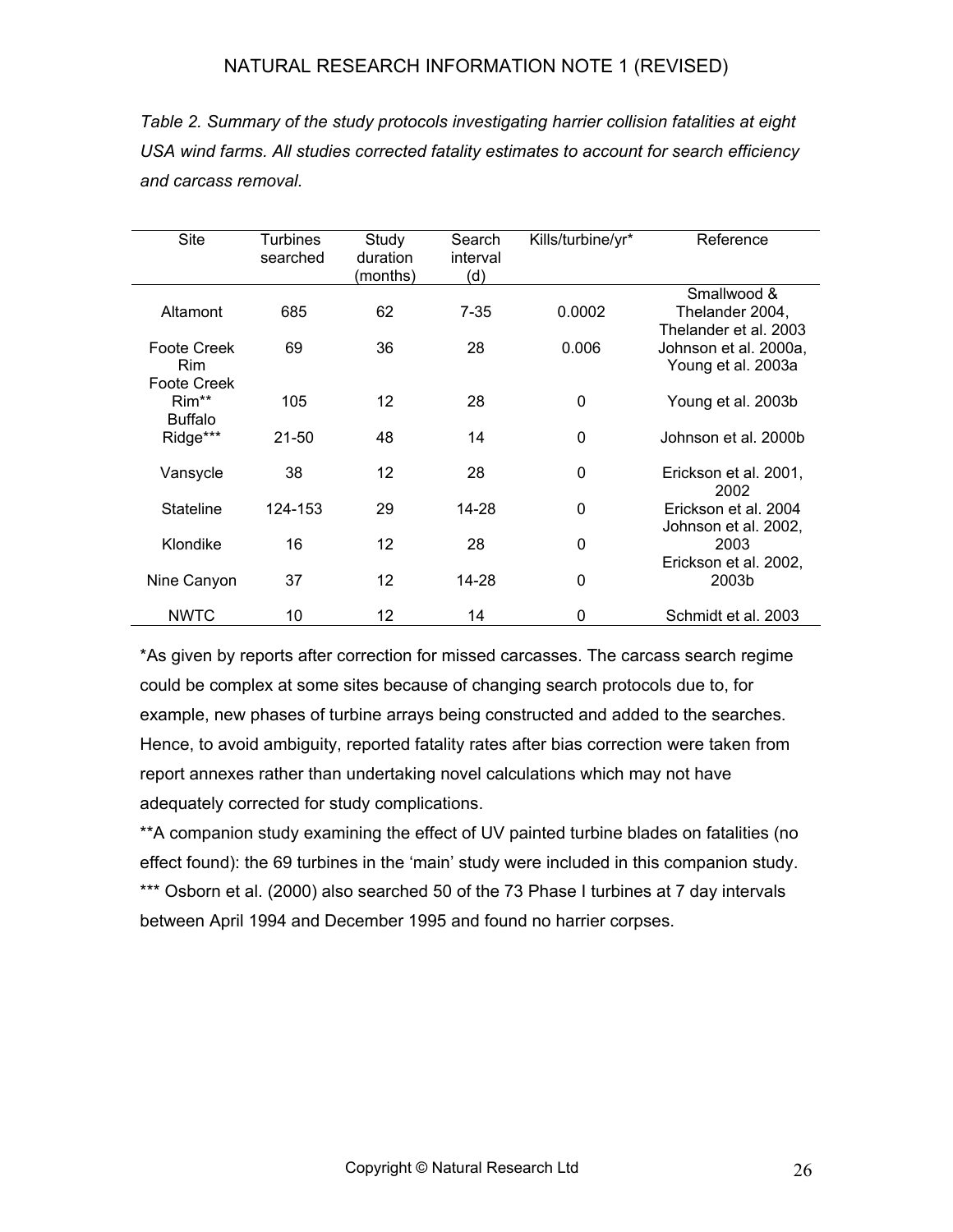*Table 2. Summary of the study protocols investigating harrier collision fatalities at eight USA wind farms. All studies corrected fatality estimates to account for search efficiency and carcass removal.* 

| <b>Site</b>        | Turbines  | Study    | Search   | Kills/turbine/yr* | Reference             |
|--------------------|-----------|----------|----------|-------------------|-----------------------|
|                    | searched  | duration | interval |                   |                       |
|                    |           | (months) | (d)      |                   |                       |
|                    |           |          |          |                   | Smallwood &           |
| Altamont           | 685       | 62       | $7 - 35$ | 0.0002            | Thelander 2004,       |
|                    |           |          |          |                   | Thelander et al. 2003 |
| <b>Foote Creek</b> | 69        | 36       | 28       | 0.006             | Johnson et al. 2000a, |
| <b>Rim</b>         |           |          |          |                   |                       |
|                    |           |          |          |                   | Young et al. 2003a    |
| Foote Creek        |           |          |          |                   |                       |
| Rim**              | 105       | 12       | 28       | 0                 | Young et al. 2003b    |
| <b>Buffalo</b>     |           |          |          |                   |                       |
| Ridge***           | $21 - 50$ | 48       | 14       | $\mathbf{0}$      | Johnson et al. 2000b  |
|                    |           |          |          |                   |                       |
| Vansycle           | 38        | 12       | 28       | $\mathbf{0}$      | Erickson et al. 2001, |
|                    |           |          |          |                   | 2002                  |
| <b>Stateline</b>   | 124-153   | 29       | 14-28    | 0                 | Erickson et al. 2004  |
|                    |           |          |          |                   | Johnson et al. 2002,  |
| Klondike           | 16        | 12       | 28       | 0                 | 2003                  |
|                    |           |          |          |                   | Erickson et al. 2002, |
|                    |           |          |          |                   |                       |
| Nine Canyon        | 37        | 12       | 14-28    | 0                 | 2003b                 |
|                    |           |          |          |                   |                       |
| <b>NWTC</b>        | 10        | 12       | 14       | 0                 | Schmidt et al. 2003   |

\*As given by reports after correction for missed carcasses. The carcass search regime could be complex at some sites because of changing search protocols due to, for example, new phases of turbine arrays being constructed and added to the searches. Hence, to avoid ambiguity, reported fatality rates after bias correction were taken from report annexes rather than undertaking novel calculations which may not have adequately corrected for study complications.

\*\*A companion study examining the effect of UV painted turbine blades on fatalities (no effect found): the 69 turbines in the 'main' study were included in this companion study. \*\*\* Osborn et al. (2000) also searched 50 of the 73 Phase I turbines at 7 day intervals between April 1994 and December 1995 and found no harrier corpses.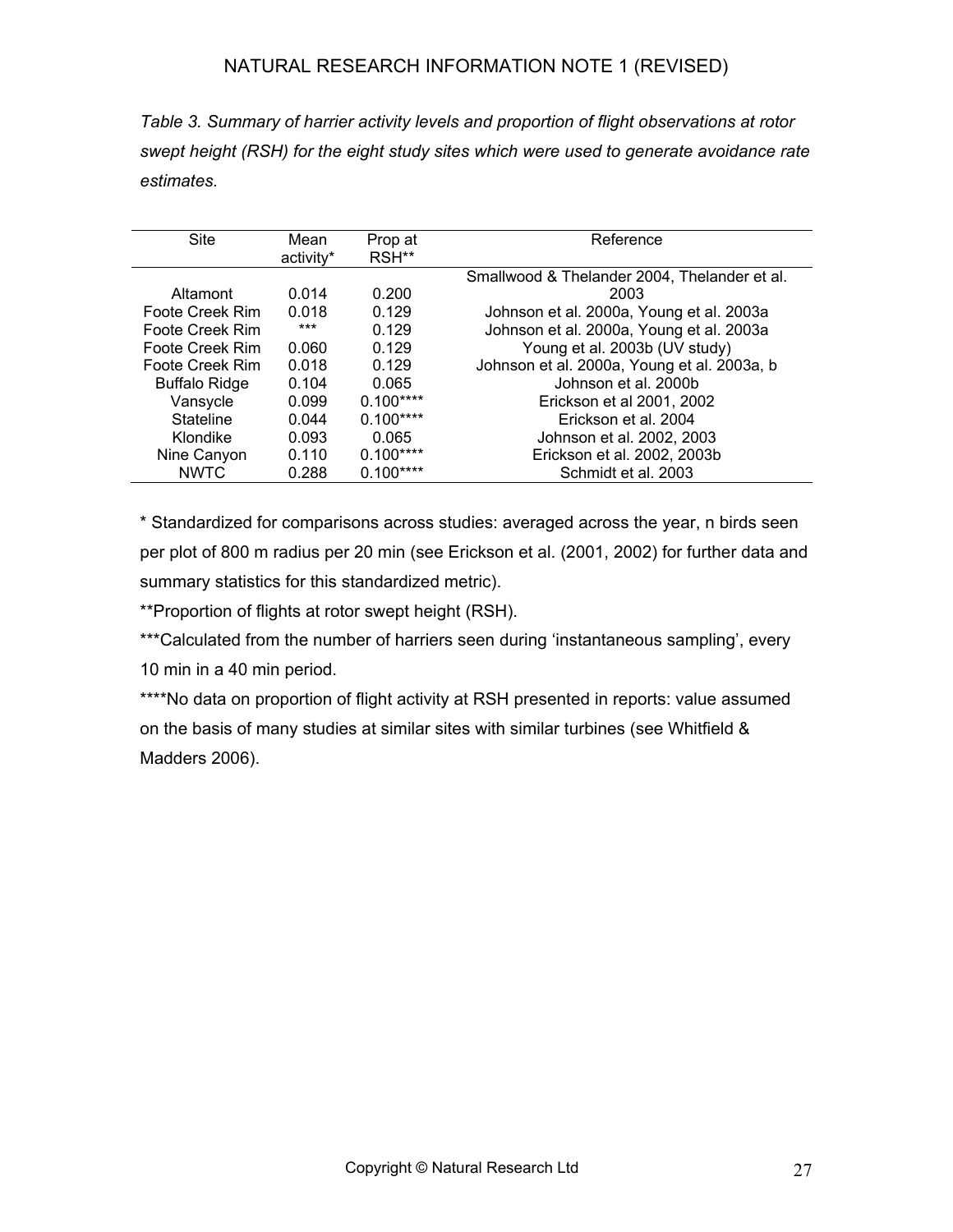*Table 3. Summary of harrier activity levels and proportion of flight observations at rotor swept height (RSH) for the eight study sites which were used to generate avoidance rate estimates.* 

| <b>Site</b>          | Mean      | Prop at    | Reference                                    |
|----------------------|-----------|------------|----------------------------------------------|
|                      | activity* | RSH**      |                                              |
|                      |           |            | Smallwood & Thelander 2004, Thelander et al. |
| Altamont             | 0.014     | 0.200      | 2003                                         |
| Foote Creek Rim      | 0.018     | 0.129      | Johnson et al. 2000a, Young et al. 2003a     |
| Foote Creek Rim      | ***       | 0.129      | Johnson et al. 2000a, Young et al. 2003a     |
| Foote Creek Rim      | 0.060     | 0.129      | Young et al. 2003b (UV study)                |
| Foote Creek Rim      | 0.018     | 0.129      | Johnson et al. 2000a, Young et al. 2003a, b  |
| <b>Buffalo Ridge</b> | 0.104     | 0.065      | Johnson et al. 2000b                         |
| Vansycle             | 0.099     | $0.100***$ | Erickson et al 2001, 2002                    |
| <b>Stateline</b>     | 0.044     | $0.100***$ | Erickson et al. 2004                         |
| Klondike             | 0.093     | 0.065      | Johnson et al. 2002, 2003                    |
| Nine Canyon          | 0.110     | $0.100***$ | Erickson et al. 2002, 2003b                  |
| <b>NWTC</b>          | 0.288     | $0.100***$ | Schmidt et al. 2003                          |

\* Standardized for comparisons across studies: averaged across the year, n birds seen per plot of 800 m radius per 20 min (see Erickson et al. (2001, 2002) for further data and summary statistics for this standardized metric).

\*\*Proportion of flights at rotor swept height (RSH).

\*\*\*Calculated from the number of harriers seen during 'instantaneous sampling', every 10 min in a 40 min period.

\*\*\*\*No data on proportion of flight activity at RSH presented in reports: value assumed on the basis of many studies at similar sites with similar turbines (see Whitfield & Madders 2006).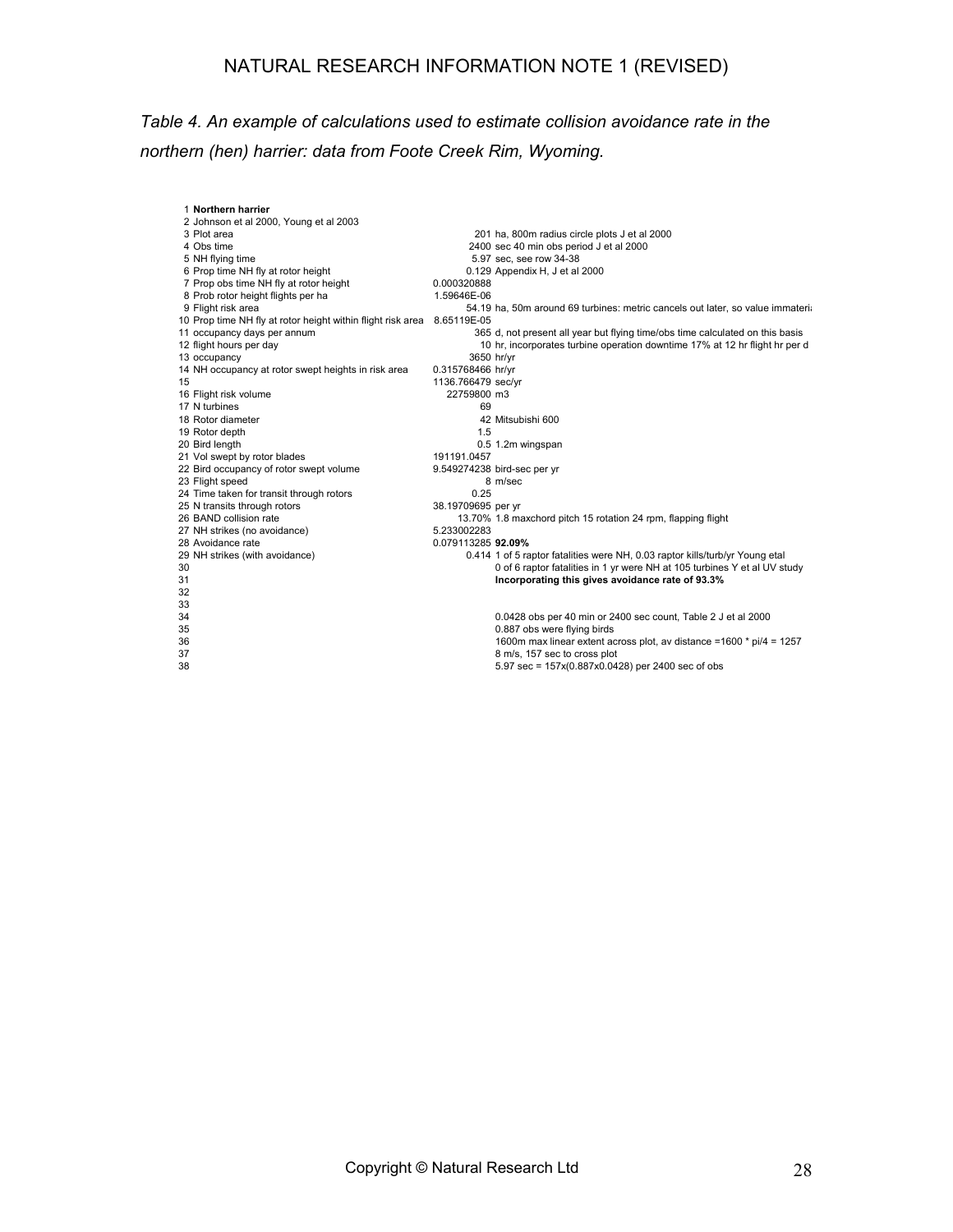## *Table 4. An example of calculations used to estimate collision avoidance rate in the northern (hen) harrier: data from Foote Creek Rim, Wyoming.*

| 1 Northern harrier<br>2 Johnson et al 2000, Young et al 2003            |                    |                                                                                |
|-------------------------------------------------------------------------|--------------------|--------------------------------------------------------------------------------|
| 3 Plot area                                                             |                    | 201 ha, 800m radius circle plots J et al 2000                                  |
| 4 Obs time                                                              |                    | 2400 sec 40 min obs period J et al 2000                                        |
| 5 NH flying time                                                        |                    | 5.97 sec, see row 34-38                                                        |
| 6 Prop time NH fly at rotor height                                      |                    | 0.129 Appendix H, J et al 2000                                                 |
| 7 Prop obs time NH fly at rotor height                                  | 0.000320888        |                                                                                |
| 8 Prob rotor height flights per ha                                      | 1.59646E-06        |                                                                                |
| 9 Flight risk area                                                      |                    | 54.19 ha, 50m around 69 turbines: metric cancels out later, so value immateria |
| 10 Prop time NH fly at rotor height within flight risk area 8.65119E-05 |                    |                                                                                |
| 11 occupancy days per annum                                             |                    | 365 d, not present all year but flying time/obs time calculated on this basis  |
| 12 flight hours per day                                                 |                    | 10 hr, incorporates turbine operation downtime 17% at 12 hr flight hr per d    |
| 13 occupancy                                                            |                    | 3650 hr/yr                                                                     |
| 14 NH occupancy at rotor swept heights in risk area                     | 0.315768466 hr/yr  |                                                                                |
| 15                                                                      | 1136.766479 sec/yr |                                                                                |
| 16 Flight risk volume                                                   | 22759800 m3        |                                                                                |
| 17 N turbines                                                           | 69                 |                                                                                |
| 18 Rotor diameter                                                       |                    | 42 Mitsubishi 600                                                              |
| 19 Rotor depth                                                          | 1.5                |                                                                                |
| 20 Bird length                                                          |                    | 0.5 1.2m wingspan                                                              |
| 21 Vol swept by rotor blades                                            | 191191.0457        |                                                                                |
| 22 Bird occupancy of rotor swept volume                                 |                    | 9.549274238 bird-sec per yr                                                    |
| 23 Flight speed                                                         |                    | 8 m/sec                                                                        |
| 24 Time taken for transit through rotors                                | 0.25               |                                                                                |
| 25 N transits through rotors                                            | 38.19709695 per yr |                                                                                |
| 26 BAND collision rate                                                  |                    | 13.70% 1.8 maxchord pitch 15 rotation 24 rpm, flapping flight                  |
| 27 NH strikes (no avoidance)                                            | 5.233002283        |                                                                                |
| 28 Avoidance rate                                                       | 0.079113285 92.09% |                                                                                |
| 29 NH strikes (with avoidance)                                          |                    | 0.414 1 of 5 raptor fatalities were NH, 0.03 raptor kills/turb/yr Young etal   |
| 30                                                                      |                    | 0 of 6 raptor fatalities in 1 yr were NH at 105 turbines Y et al UV study      |
| 31                                                                      |                    | Incorporating this gives avoidance rate of 93.3%                               |
| 32                                                                      |                    |                                                                                |
| 33                                                                      |                    |                                                                                |
| 34                                                                      |                    | 0.0428 obs per 40 min or 2400 sec count, Table 2 J et al 2000                  |
| 35                                                                      |                    | 0.887 obs were flying birds                                                    |
| 36                                                                      |                    | 1600m max linear extent across plot, av distance = 1600 * pi/4 = 1257          |
| 37                                                                      |                    | 8 m/s, 157 sec to cross plot                                                   |
| 38                                                                      |                    | 5.97 sec = 157x(0.887x0.0428) per 2400 sec of obs                              |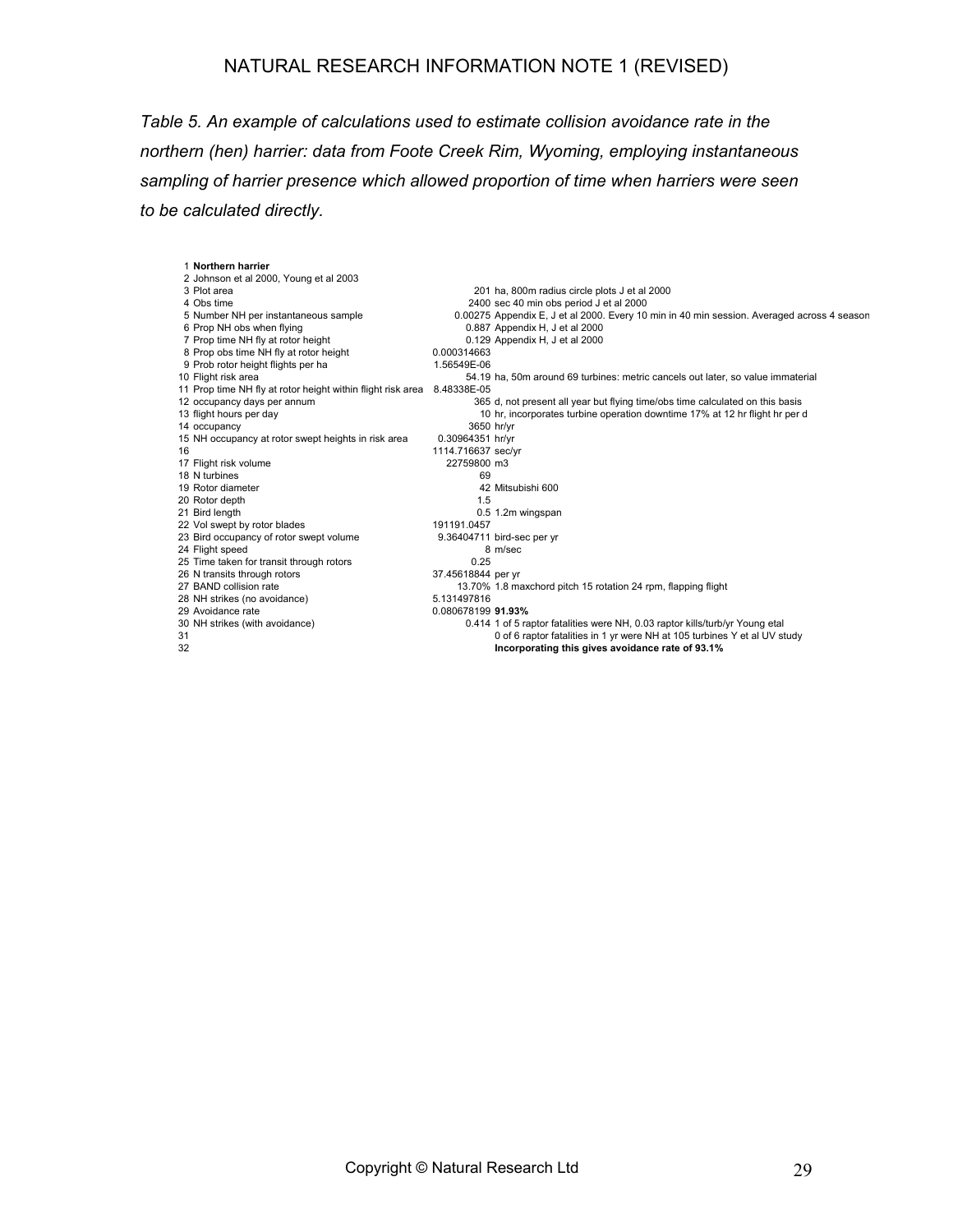*Table 5. An example of calculations used to estimate collision avoidance rate in the northern (hen) harrier: data from Foote Creek Rim, Wyoming, employing instantaneous sampling of harrier presence which allowed proportion of time when harriers were seen to be calculated directly.* 

| 1 Northern harrier                                                      |                    |                                                                                            |
|-------------------------------------------------------------------------|--------------------|--------------------------------------------------------------------------------------------|
| 2 Johnson et al 2000, Young et al 2003                                  |                    |                                                                                            |
| 3 Plot area                                                             |                    | 201 ha, 800m radius circle plots J et al 2000                                              |
| 4 Obs time                                                              |                    | 2400 sec 40 min obs period J et al 2000                                                    |
| 5 Number NH per instantaneous sample                                    |                    | 0.00275 Appendix E, J et al 2000. Every 10 min in 40 min session. Averaged across 4 season |
| 6 Prop NH obs when flying                                               |                    | 0.887 Appendix H, J et al 2000                                                             |
| 7 Prop time NH fly at rotor height                                      |                    | 0.129 Appendix H, J et al 2000                                                             |
| 8 Prop obs time NH fly at rotor height                                  | 0.000314663        |                                                                                            |
| 9 Prob rotor height flights per ha                                      | 1.56549E-06        |                                                                                            |
| 10 Flight risk area                                                     |                    | 54.19 ha, 50m around 69 turbines: metric cancels out later, so value immaterial            |
| 11 Prop time NH fly at rotor height within flight risk area 8.48338E-05 |                    |                                                                                            |
| 12 occupancy days per annum                                             |                    | 365 d, not present all year but flying time/obs time calculated on this basis              |
| 13 flight hours per day                                                 |                    | 10 hr, incorporates turbine operation downtime 17% at 12 hr flight hr per d                |
| 14 occupancy                                                            | 3650 hr/yr         |                                                                                            |
| 15 NH occupancy at rotor swept heights in risk area                     | 0.30964351 hr/yr   |                                                                                            |
| 16                                                                      | 1114.716637 sec/yr |                                                                                            |
| 17 Flight risk volume                                                   | 22759800 m3        |                                                                                            |
| 18 N turbines                                                           | 69                 |                                                                                            |
| 19 Rotor diameter                                                       |                    | 42 Mitsubishi 600                                                                          |
| 20 Rotor depth                                                          | 1.5                |                                                                                            |
| 21 Bird length                                                          |                    | 0.5 1.2m wingspan                                                                          |
| 22 Vol swept by rotor blades                                            | 191191.0457        |                                                                                            |
| 23 Bird occupancy of rotor swept volume                                 |                    | 9.36404711 bird-sec per yr                                                                 |
| 24 Flight speed                                                         |                    | 8 m/sec                                                                                    |
| 25 Time taken for transit through rotors                                | 0.25               |                                                                                            |
| 26 N transits through rotors                                            | 37.45618844 per yr |                                                                                            |
| 27 BAND collision rate                                                  |                    | 13.70% 1.8 maxchord pitch 15 rotation 24 rpm, flapping flight                              |
| 28 NH strikes (no avoidance)                                            | 5.131497816        |                                                                                            |
| 29 Avoidance rate                                                       | 0.080678199 91.93% |                                                                                            |
| 30 NH strikes (with avoidance)                                          |                    | 0.414 1 of 5 raptor fatalities were NH, 0.03 raptor kills/turb/yr Young etal               |
| 31                                                                      |                    | 0 of 6 raptor fatalities in 1 yr were NH at 105 turbines Y et al UV study                  |
| 32                                                                      |                    | Incorporating this gives avoidance rate of 93.1%                                           |
|                                                                         |                    |                                                                                            |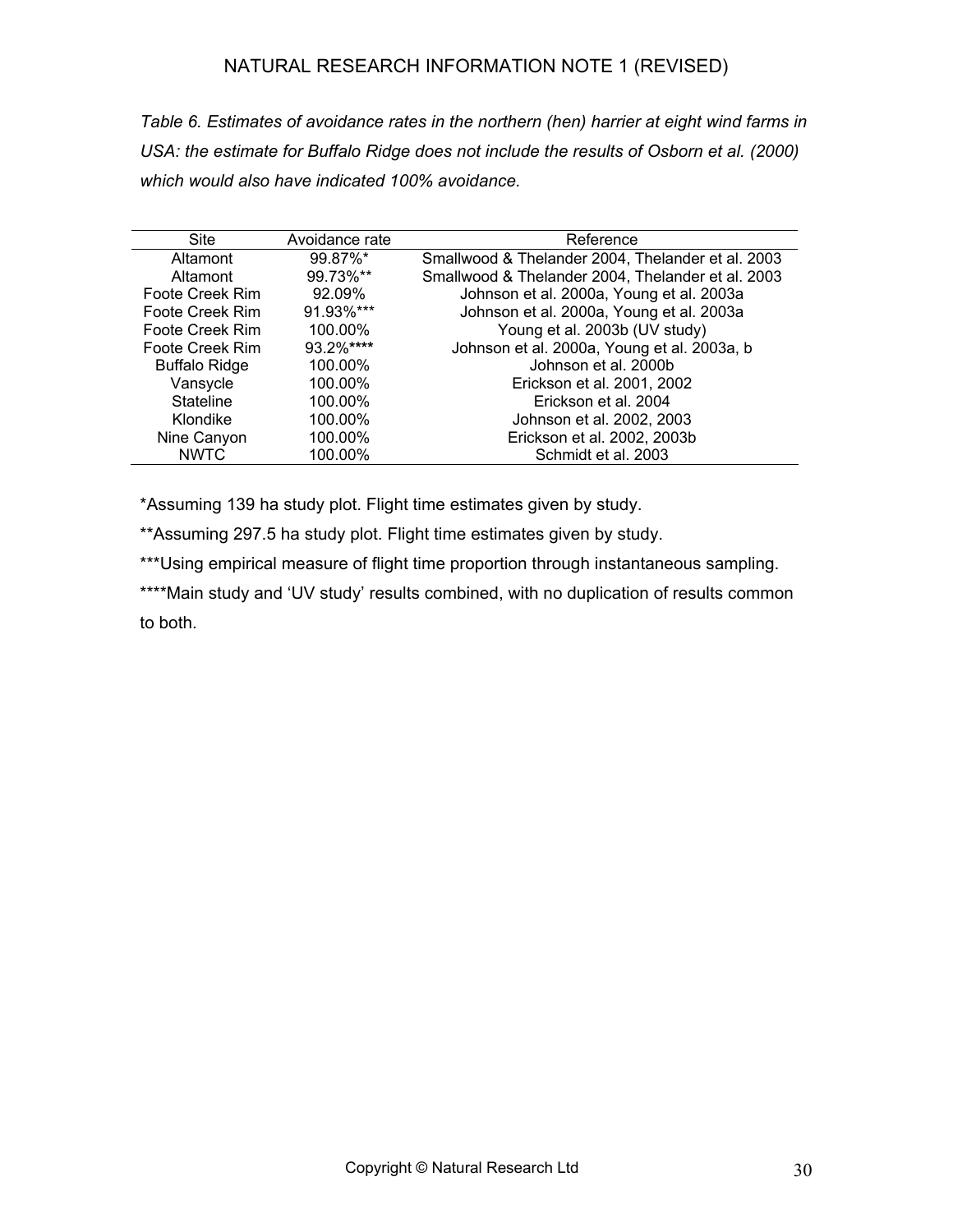*Table 6. Estimates of avoidance rates in the northern (hen) harrier at eight wind farms in*  USA: the estimate for Buffalo Ridge does not include the results of Osborn et al. (2000) *which would also have indicated 100% avoidance.* 

| <b>Site</b>          | Avoidance rate | Reference                                         |
|----------------------|----------------|---------------------------------------------------|
| Altamont             | 99.87%*        | Smallwood & Thelander 2004, Thelander et al. 2003 |
| Altamont             | 99.73%**       | Smallwood & Thelander 2004, Thelander et al. 2003 |
| Foote Creek Rim      | 92.09%         | Johnson et al. 2000a, Young et al. 2003a          |
| Foote Creek Rim      | 91.93%***      | Johnson et al. 2000a, Young et al. 2003a          |
| Foote Creek Rim      | 100.00%        | Young et al. 2003b (UV study)                     |
| Foote Creek Rim      | 93.2%****      | Johnson et al. 2000a, Young et al. 2003a, b       |
| <b>Buffalo Ridge</b> | 100.00%        | Johnson et al. 2000b                              |
| Vansycle             | 100.00%        | Erickson et al. 2001, 2002                        |
| <b>Stateline</b>     | 100.00%        | Erickson et al. 2004                              |
| Klondike             | 100.00%        | Johnson et al. 2002, 2003                         |
| Nine Canyon          | 100.00%        | Erickson et al. 2002, 2003b                       |
| <b>NWTC</b>          | 100.00%        | Schmidt et al. 2003                               |

\*Assuming 139 ha study plot. Flight time estimates given by study.

\*\*Assuming 297.5 ha study plot. Flight time estimates given by study.

\*\*\*Using empirical measure of flight time proportion through instantaneous sampling.

\*\*\*\*Main study and 'UV study' results combined, with no duplication of results common to both.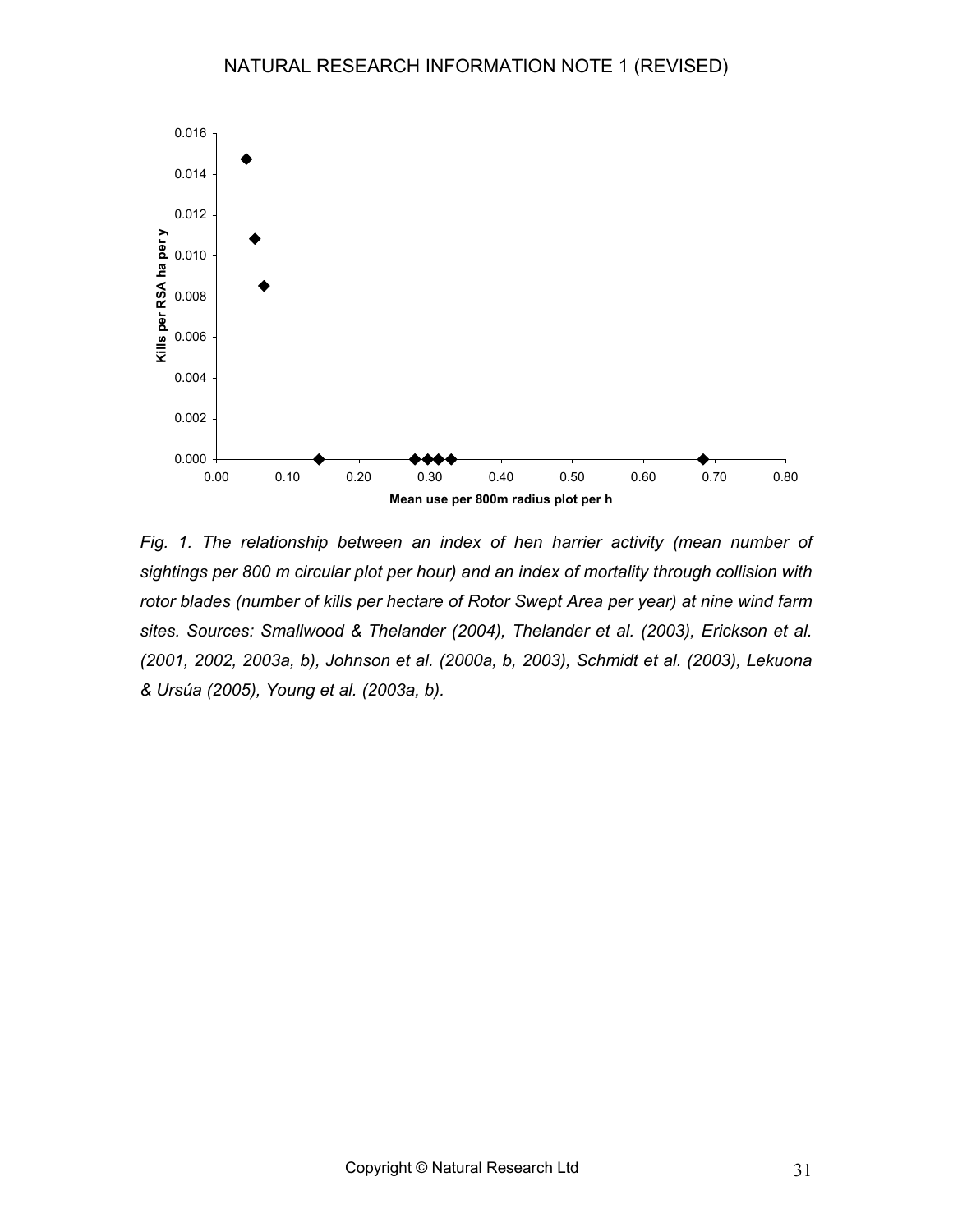

*Fig. 1. The relationship between an index of hen harrier activity (mean number of sightings per 800 m circular plot per hour) and an index of mortality through collision with rotor blades (number of kills per hectare of Rotor Swept Area per year) at nine wind farm sites. Sources: Smallwood & Thelander (2004), Thelander et al. (2003), Erickson et al. (2001, 2002, 2003a, b), Johnson et al. (2000a, b, 2003), Schmidt et al. (2003), Lekuona & Ursúa (2005), Young et al. (2003a, b).*